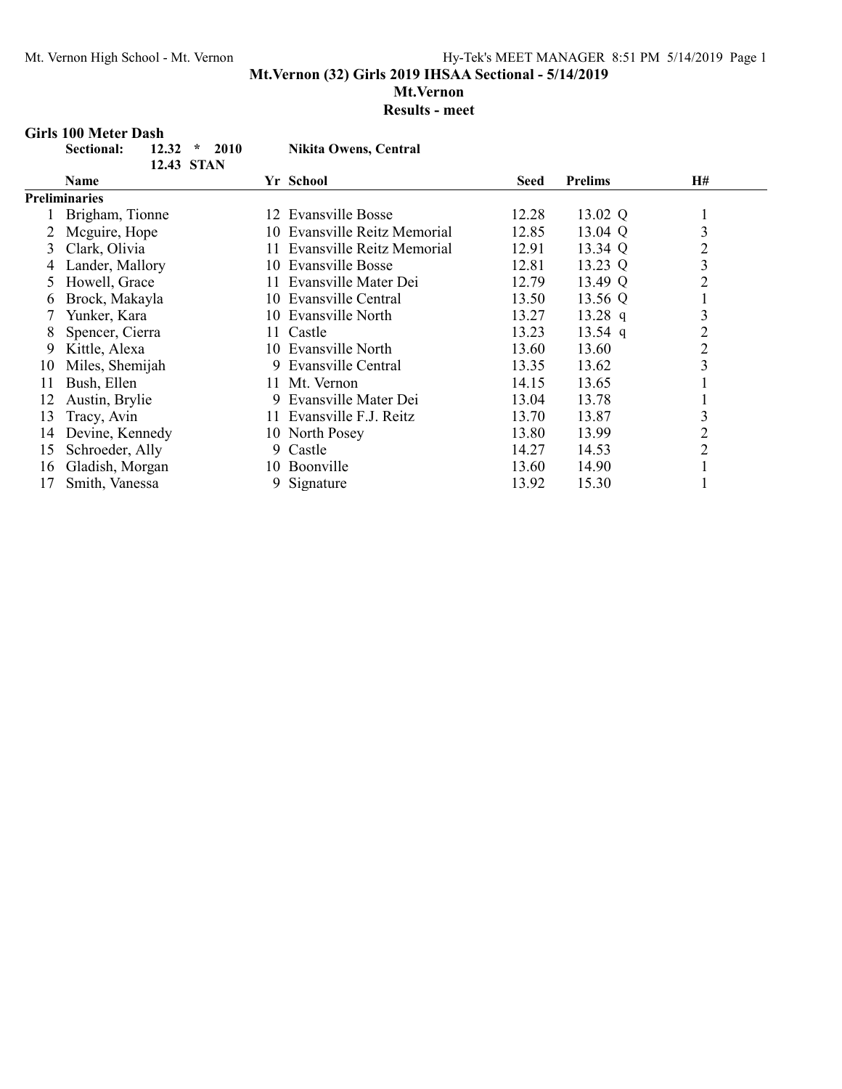### Mt. Vernon High School - Mt. Vernon Hy-Tek's MEET MANAGER 8:51 PM 5/14/2019 Page 1

**Mt.Vernon (32) Girls 2019 IHSAA Sectional - 5/14/2019**

### **Mt.Vernon**

**Results - meet**

#### **Girls 100 Meter Dash**

| <b>Sectional:</b> | $12.32 * 2010$ |  | <b>Nikita Owens, Central</b> |
|-------------------|----------------|--|------------------------------|
|                   | 12.43 STAN     |  |                              |
| --                |                |  |                              |

|    | Name                 |              | Yr School                    | <b>Seed</b> | <b>Prelims</b> | Н#             |
|----|----------------------|--------------|------------------------------|-------------|----------------|----------------|
|    | <b>Preliminaries</b> |              |                              |             |                |                |
|    | Brigham, Tionne      |              | 12 Evansville Bosse          | 12.28       | 13.02 Q        |                |
|    | Meguire, Hope        |              | 10 Evansville Reitz Memorial | 12.85       | 13.04 Q        | 3              |
| 3  | Clark, Olivia        | 11.          | Evansville Reitz Memorial    | 12.91       | 13.34 Q        | $\overline{2}$ |
| 4  | Lander, Mallory      |              | 10 Evansville Bosse          | 12.81       | 13.23 Q        | 3              |
| 5. | Howell, Grace        | $\mathbf{H}$ | Evansville Mater Dei         | 12.79       | 13.49 Q        | 2              |
| 6  | Brock, Makayla       |              | 10 Evansville Central        | 13.50       | 13.56 Q        |                |
|    | Yunker, Kara         |              | 10 Evansville North          | 13.27       | $13.28$ q      | 3              |
| 8  | Spencer, Cierra      |              | 11 Castle                    | 13.23       | $13.54$ q      | 2              |
| 9  | Kittle, Alexa        |              | 10 Evansville North          | 13.60       | 13.60          | $\overline{2}$ |
| 10 | Miles, Shemijah      |              | 9 Evansville Central         | 13.35       | 13.62          | 3              |
| 11 | Bush, Ellen          | 11.          | Mt. Vernon                   | 14.15       | 13.65          |                |
| 12 | Austin, Brylie       |              | 9 Evansville Mater Dei       | 13.04       | 13.78          |                |
| 13 | Tracy, Avin          | 11.          | Evansville F.J. Reitz        | 13.70       | 13.87          | Ć              |
| 14 | Devine, Kennedy      |              | 10 North Posey               | 13.80       | 13.99          | 2              |
| 15 | Schroeder, Ally      |              | 9 Castle                     | 14.27       | 14.53          | 2              |
| 16 | Gladish, Morgan      | 10.          | Boonville                    | 13.60       | 14.90          |                |
| 17 | Smith, Vanessa       |              | 9 Signature                  | 13.92       | 15.30          |                |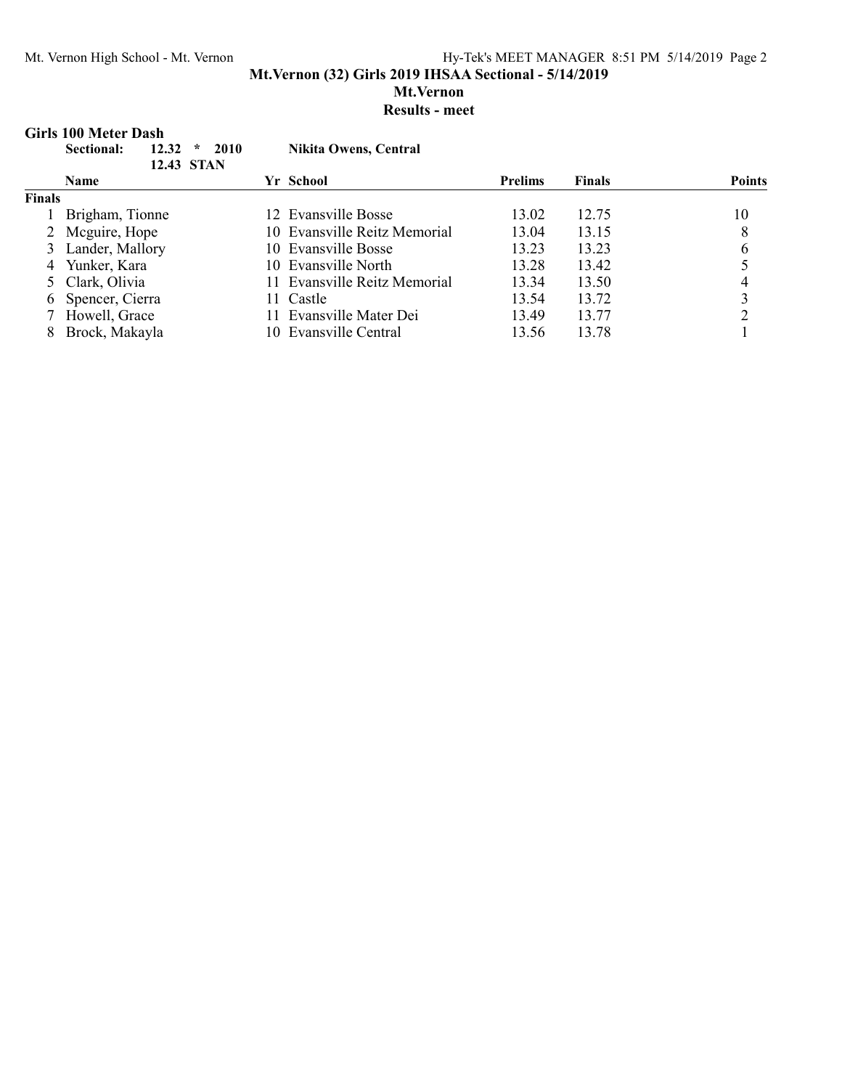# **Mt.Vernon**

**Results - meet**

#### **Girls 100 Meter Dash**

|               | 12.32<br><b>Sectional:</b><br>$\star$<br><b>12.43 STAN</b> | 2010<br><b>Nikita Owens, Central</b> |                |               |               |
|---------------|------------------------------------------------------------|--------------------------------------|----------------|---------------|---------------|
|               | <b>Name</b>                                                | Yr School                            | <b>Prelims</b> | <b>Finals</b> | <b>Points</b> |
| <b>Finals</b> |                                                            |                                      |                |               |               |
|               | Brigham, Tionne                                            | 12 Evansville Bosse                  | 13.02          | 12.75         | 10            |
|               | 2 Mcguire, Hope                                            | 10 Evansville Reitz Memorial         | 13.04          | 13.15         | 8             |
|               | 3 Lander, Mallory                                          | 10 Evansville Bosse                  | 13.23          | 13.23         | b             |
|               | 4 Yunker, Kara                                             | 10 Evansville North                  | 13.28          | 13.42         |               |
|               | 5 Clark, Olivia                                            | 11 Evansville Reitz Memorial         | 13.34          | 13.50         | 4             |
|               | 6 Spencer, Cierra                                          | 11 Castle                            | 13.54          | 13.72         |               |
|               | 7 Howell, Grace                                            | 11 Evansville Mater Dei              | 13.49          | 13.77         |               |
|               | Brock, Makayla                                             | 10 Evansville Central                | 13.56          | 13.78         |               |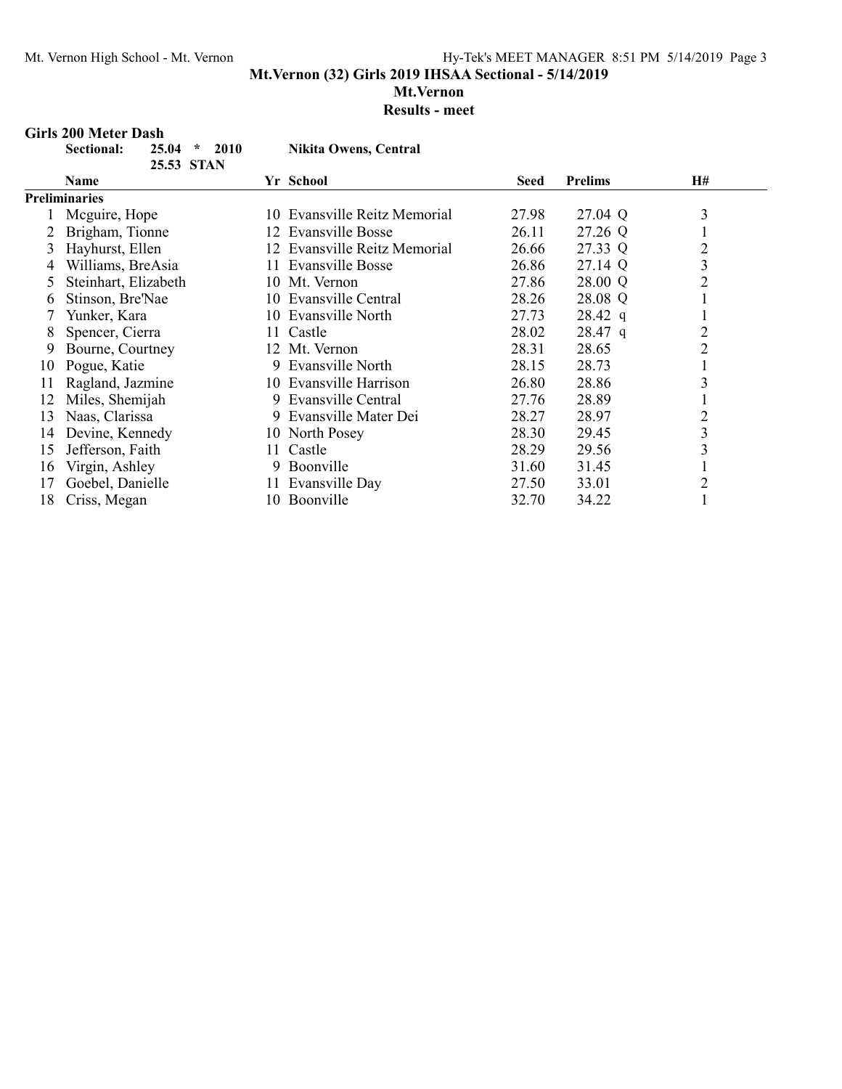# **Mt.Vernon**

**Results - meet**

#### **Girls 200 Meter Dash**

|    | Sectional:<br>25.04<br>2010<br>$\star$ |     | <b>Nikita Owens, Central</b> |             |                |                |
|----|----------------------------------------|-----|------------------------------|-------------|----------------|----------------|
|    | 25.53 STAN<br>Name                     |     | Yr School                    | <b>Seed</b> | <b>Prelims</b> | H#             |
|    | <b>Preliminaries</b>                   |     |                              |             |                |                |
|    | Meguire, Hope                          |     | 10 Evansville Reitz Memorial | 27.98       | 27.04 Q        | 3              |
|    | Brigham, Tionne                        |     | 12 Evansville Bosse          | 26.11       | 27.26 Q        |                |
| 3  | Hayhurst, Ellen                        |     | 12 Evansville Reitz Memorial | 26.66       | 27.33 Q        | 2              |
| 4  | Williams, BreAsia                      |     | 11 Evansville Bosse          | 26.86       | 27.14 Q        | 3              |
| 5  | Steinhart, Elizabeth                   |     | 10 Mt. Vernon                | 27.86       | 28.00 Q        | $\overline{2}$ |
| 6  | Stinson, Bre'Nae                       |     | 10 Evansville Central        | 28.26       | 28.08 Q        |                |
|    | Yunker, Kara                           |     | 10 Evansville North          | 27.73       | $28.42$ q      |                |
| 8  | Spencer, Cierra                        | 11- | Castle                       | 28.02       | $28.47$ q      | $\overline{2}$ |
| 9  | Bourne, Courtney                       |     | 12 Mt. Vernon                | 28.31       | 28.65          | $\overline{2}$ |
| 10 | Pogue, Katie                           | 9   | Evansville North             | 28.15       | 28.73          |                |
| 11 | Ragland, Jazmine                       |     | 10 Evansville Harrison       | 26.80       | 28.86          | 3              |
| 12 | Miles, Shemijah                        |     | 9 Evansville Central         | 27.76       | 28.89          |                |
| 13 | Naas, Clarissa                         |     | 9 Evansville Mater Dei       | 28.27       | 28.97          | $\overline{2}$ |
| 14 | Devine, Kennedy                        |     | 10 North Posey               | 28.30       | 29.45          | 3              |
| 15 | Jefferson, Faith                       | 11- | Castle                       | 28.29       | 29.56          | 3              |
| 16 | Virgin, Ashley                         | 9.  | Boonville                    | 31.60       | 31.45          |                |
| 17 | Goebel, Danielle                       |     | 11 Evansville Day            | 27.50       | 33.01          | 2              |
| 18 | Criss, Megan                           |     | 10 Boonville                 | 32.70       | 34.22          |                |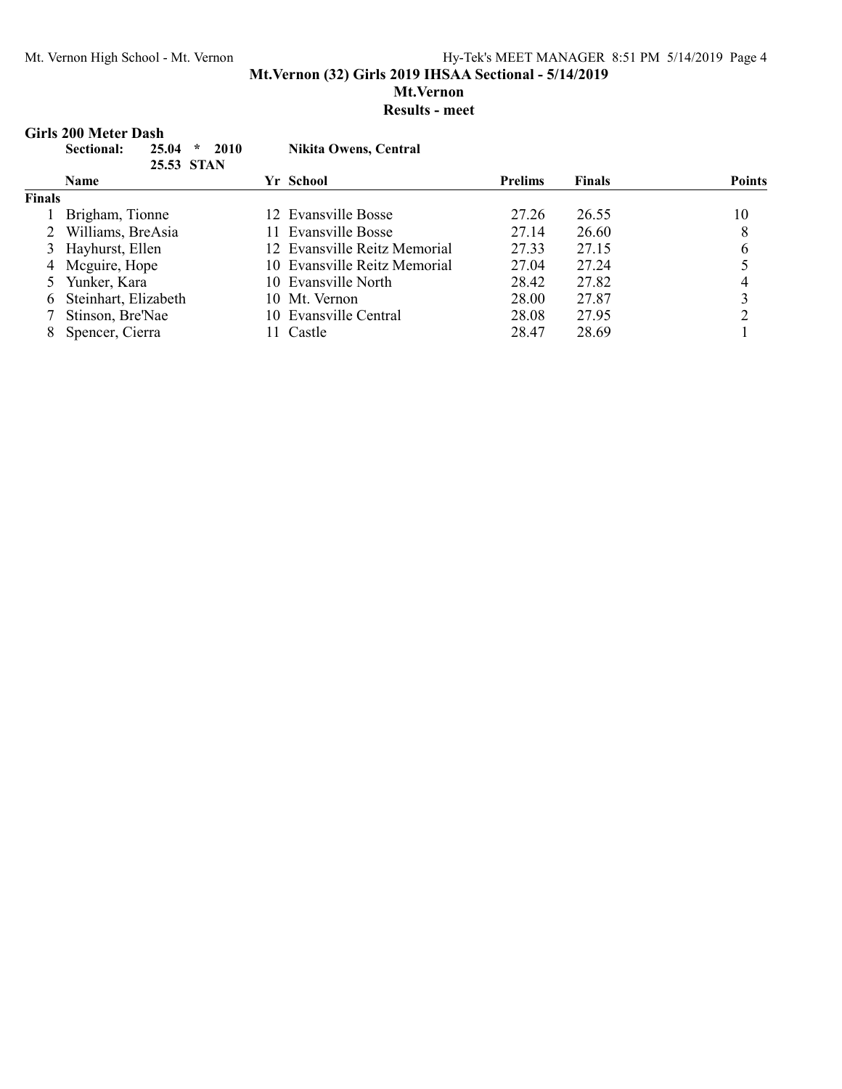#### Mt. Vernon High School - Mt. Vernon Western Hy-Tek's MEET MANAGER 8:51 PM 5/14/2019 Page 4

**Mt.Vernon (32) Girls 2019 IHSAA Sectional - 5/14/2019**

**Mt.Vernon**

**Results - meet**

#### **Girls 200 Meter Dash**

|               | 25.04<br>Sectional:<br>$\star$<br>2010<br>25.53 STAN | <b>Nikita Owens, Central</b> |                |               |               |
|---------------|------------------------------------------------------|------------------------------|----------------|---------------|---------------|
|               | <b>Name</b>                                          | Yr School                    | <b>Prelims</b> | <b>Finals</b> | <b>Points</b> |
| <b>Finals</b> |                                                      |                              |                |               |               |
|               | Brigham, Tionne                                      | 12 Evansville Bosse          | 27.26          | 26.55         | 10            |
|               | 2 Williams, BreAsia                                  | 11 Evansville Bosse          | 27.14          | 26.60         | 8             |
|               | 3 Hayhurst, Ellen                                    | 12 Evansville Reitz Memorial | 27.33          | 27.15         | 6             |
|               | 4 Mcguire, Hope                                      | 10 Evansville Reitz Memorial | 27.04          | 27.24         |               |
|               | 5 Yunker, Kara                                       | 10 Evansville North          | 28.42          | 27.82         |               |
|               | 6 Steinhart, Elizabeth                               | 10 Mt. Vernon                | 28.00          | 27.87         |               |
|               | Stinson, Bre'Nae                                     | 10 Evansville Central        | 28.08          | 27.95         |               |
|               | Spencer, Cierra                                      | Castle                       | 28.47          | 28.69         |               |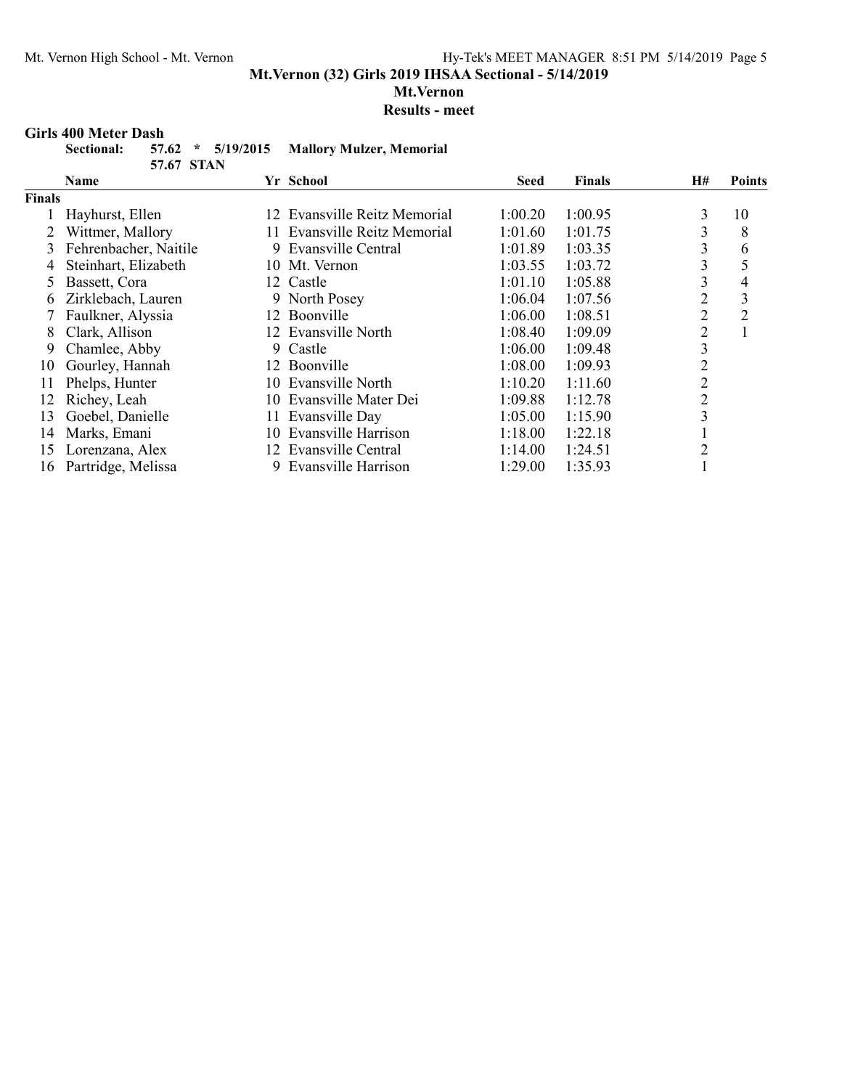**Mt.Vernon**

**Results - meet**

#### **Girls 400 Meter Dash**

|  |            | Sectional: 57.62 * 5/19/2015 Mallory Mulzer, Memorial |
|--|------------|-------------------------------------------------------|
|  | 57.67 STAN |                                                       |

|        | <b>Name</b>           |     | Yr School                    | Seed    | <b>Finals</b> | Н#             | <b>Points</b>  |
|--------|-----------------------|-----|------------------------------|---------|---------------|----------------|----------------|
| Finals |                       |     |                              |         |               |                |                |
|        | Hayhurst, Ellen       |     | 12 Evansville Reitz Memorial | 1:00.20 | 1:00.95       | 3              | 10             |
|        | Wittmer, Mallory      |     | 11 Evansville Reitz Memorial | 1:01.60 | 1:01.75       | 3              | 8              |
| 3      | Fehrenbacher, Naitile |     | 9 Evansville Central         | 1:01.89 | 1:03.35       | 3              | 6              |
| 4      | Steinhart, Elizabeth  |     | 10 Mt. Vernon                | 1:03.55 | 1:03.72       | 3              | 5              |
|        | Bassett, Cora         |     | 12 Castle                    | 1:01.10 | 1:05.88       | 3              | 4              |
| 6      | Zirklebach, Lauren    |     | 9 North Posey                | 1:06.04 | 1:07.56       | 2              | 3              |
|        | Faulkner, Alyssia     |     | 12 Boonville                 | 1:06.00 | 1:08.51       | 2              | $\overline{2}$ |
| 8      | Clark, Allison        |     | 12 Evansville North          | 1:08.40 | 1:09.09       | $\overline{2}$ |                |
| 9      | Chamlee, Abby         |     | 9 Castle                     | 1:06.00 | 1:09.48       | 3              |                |
| 10     | Gourley, Hannah       |     | 12 Boonville                 | 1:08.00 | 1:09.93       | 2              |                |
| 11     | Phelps, Hunter        | 10- | Evansville North             | 1:10.20 | 1:11.60       | $\overline{2}$ |                |
| 12     | Richey, Leah          | 10. | Evansville Mater Dei         | 1:09.88 | 1:12.78       | $\overline{2}$ |                |
| 13     | Goebel, Danielle      | 11  | Evansville Day               | 1:05.00 | 1:15.90       | 3              |                |
| 14     | Marks, Emani          | 10- | Evansville Harrison          | 1:18.00 | 1:22.18       |                |                |
| 15     | Lorenzana, Alex       |     | 12 Evansville Central        | 1:14.00 | 1:24.51       |                |                |
| 16     | Partridge, Melissa    |     | 9 Evansville Harrison        | 1:29.00 | 1:35.93       |                |                |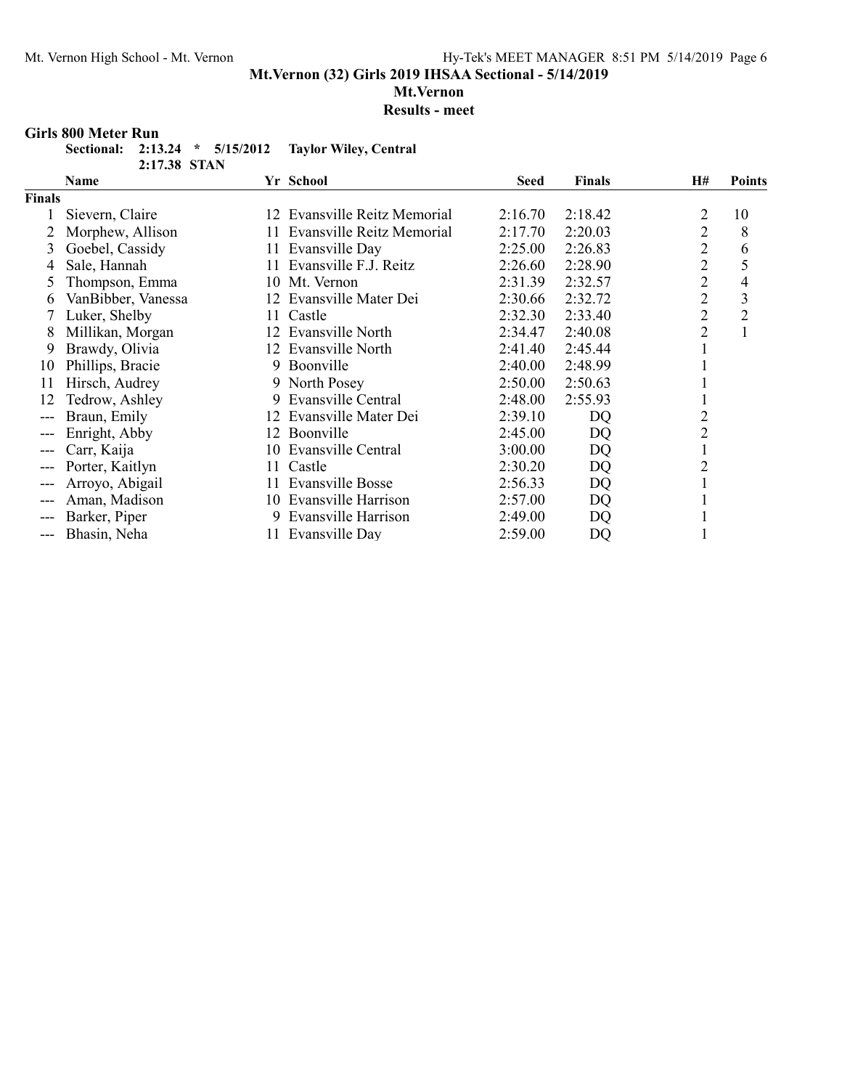**Mt.Vernon**

**Results - meet**

#### **Girls 800 Meter Run**

|  |              | Sectional: 2:13.24 * 5/15/2012 Taylor Wiley, Central |
|--|--------------|------------------------------------------------------|
|  | 2:17.38 STAN |                                                      |

|               | Name               |     | Yr School                        | <b>Seed</b> | <b>Finals</b> | H#             | <b>Points</b>  |
|---------------|--------------------|-----|----------------------------------|-------------|---------------|----------------|----------------|
| <b>Finals</b> |                    |     |                                  |             |               |                |                |
|               | Sievern, Claire    |     | 12 Evansville Reitz Memorial     | 2:16.70     | 2:18.42       | 2              | 10             |
|               | Morphew, Allison   | 11. | <b>Evansville Reitz Memorial</b> | 2:17.70     | 2:20.03       | $\overline{2}$ | 8              |
| 3             | Goebel, Cassidy    |     | 11 Evansville Day                | 2:25.00     | 2:26.83       | $\overline{c}$ | 6              |
| 4             | Sale, Hannah       | 11- | Evansville F.J. Reitz            | 2:26.60     | 2:28.90       | $\overline{2}$ | 5              |
| 5             | Thompson, Emma     |     | 10 Mt. Vernon                    | 2:31.39     | 2:32.57       | $\overline{2}$ | 4              |
| 6             | VanBibber, Vanessa |     | 12 Evansville Mater Dei          | 2:30.66     | 2:32.72       | $\overline{2}$ | 3              |
|               | Luker, Shelby      |     | 11 Castle                        | 2:32.30     | 2:33.40       | $\overline{2}$ | $\overline{2}$ |
| 8             | Millikan, Morgan   |     | 12 Evansville North              | 2:34.47     | 2:40.08       | $\overline{2}$ |                |
| 9             | Brawdy, Olivia     |     | 12 Evansville North              | 2:41.40     | 2:45.44       |                |                |
| 10            | Phillips, Bracie   |     | 9 Boonville                      | 2:40.00     | 2:48.99       |                |                |
| 11            | Hirsch, Audrey     |     | 9 North Posey                    | 2:50.00     | 2:50.63       |                |                |
| 12            | Tedrow, Ashley     | 9   | Evansville Central               | 2:48.00     | 2:55.93       |                |                |
| ---           | Braun, Emily       |     | 12 Evansville Mater Dei          | 2:39.10     | DQ            | 2              |                |
| ---           | Enright, Abby      |     | 12 Boonville                     | 2:45.00     | DQ            | $\overline{2}$ |                |
| ---           | Carr, Kaija        |     | 10 Evansville Central            | 3:00.00     | DQ            |                |                |
| $---$         | Porter, Kaitlyn    |     | 11 Castle                        | 2:30.20     | DQ            | 2              |                |
| ---           | Arroyo, Abigail    |     | 11 Evansville Bosse              | 2:56.33     | DQ            |                |                |
| ---           | Aman, Madison      | 10. | Evansville Harrison              | 2:57.00     | DQ            |                |                |
| $---$         | Barker, Piper      |     | 9 Evansville Harrison            | 2:49.00     | DQ            |                |                |
| $---$         | Bhasin, Neha       |     | 11 Evansville Day                | 2:59.00     | DQ            |                |                |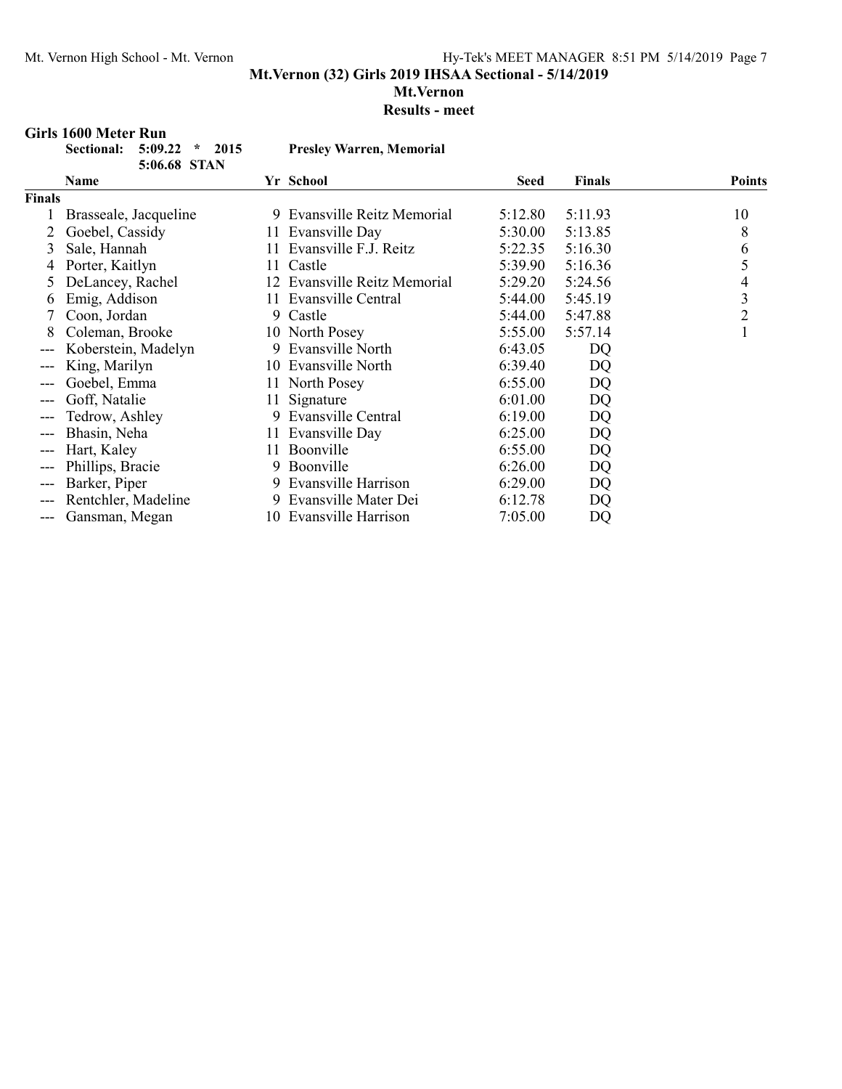**Mt.Vernon**

**Results - meet**

#### **Girls 1600 Meter Run**

|               | Sectional:<br>5:09.22<br>2015<br>$\star$<br>5:06.68 STAN |     | <b>Presley Warren, Memorial</b> |         |               |                |
|---------------|----------------------------------------------------------|-----|---------------------------------|---------|---------------|----------------|
|               | Name                                                     |     | Yr School                       | Seed    | <b>Finals</b> | <b>Points</b>  |
| <b>Finals</b> |                                                          |     |                                 |         |               |                |
|               | Brasseale, Jacqueline                                    |     | 9 Evansville Reitz Memorial     | 5:12.80 | 5:11.93       | 10             |
|               | Goebel, Cassidy                                          |     | 11 Evansville Day               | 5:30.00 | 5:13.85       | 8              |
| 3             | Sale, Hannah                                             | 11  | Evansville F.J. Reitz           | 5:22.35 | 5:16.30       | 6              |
|               | Porter, Kaitlyn                                          |     | 11 Castle                       | 5:39.90 | 5:16.36       | 5              |
|               | DeLancey, Rachel                                         |     | 12 Evansville Reitz Memorial    | 5:29.20 | 5:24.56       | 4              |
| 6             | Emig, Addison                                            | 11  | Evansville Central              | 5:44.00 | 5:45.19       | 3              |
|               | Coon, Jordan                                             |     | 9 Castle                        | 5:44.00 | 5:47.88       | $\overline{2}$ |
| 8             | Coleman, Brooke                                          |     | 10 North Posey                  | 5:55.00 | 5:57.14       |                |
| ---           | Koberstein, Madelyn                                      | 9   | Evansville North                | 6:43.05 | DQ            |                |
| $---$         | King, Marilyn                                            |     | 10 Evansville North             | 6:39.40 | DQ            |                |
| ---           | Goebel, Emma                                             |     | 11 North Posey                  | 6:55.00 | DQ            |                |
| ---           | Goff, Natalie                                            |     | 11 Signature                    | 6:01.00 | DQ            |                |
| $---$         | Tedrow, Ashley                                           |     | 9 Evansville Central            | 6:19.00 | DQ            |                |
| ---           | Bhasin, Neha                                             | 11- | Evansville Day                  | 6:25.00 | DQ            |                |
| $---$         | Hart, Kaley                                              | 11- | Boonville                       | 6:55.00 | DQ            |                |
| $---$         | Phillips, Bracie                                         | 9   | Boonville                       | 6:26.00 | DQ            |                |
| $---$         | Barker, Piper                                            | 9   | Evansville Harrison             | 6:29.00 | DQ            |                |
| $---$         | Rentchler, Madeline                                      |     | 9 Evansville Mater Dei          | 6:12.78 | DQ            |                |
| $---$         | Gansman, Megan                                           |     | 10 Evansville Harrison          | 7:05.00 | DQ            |                |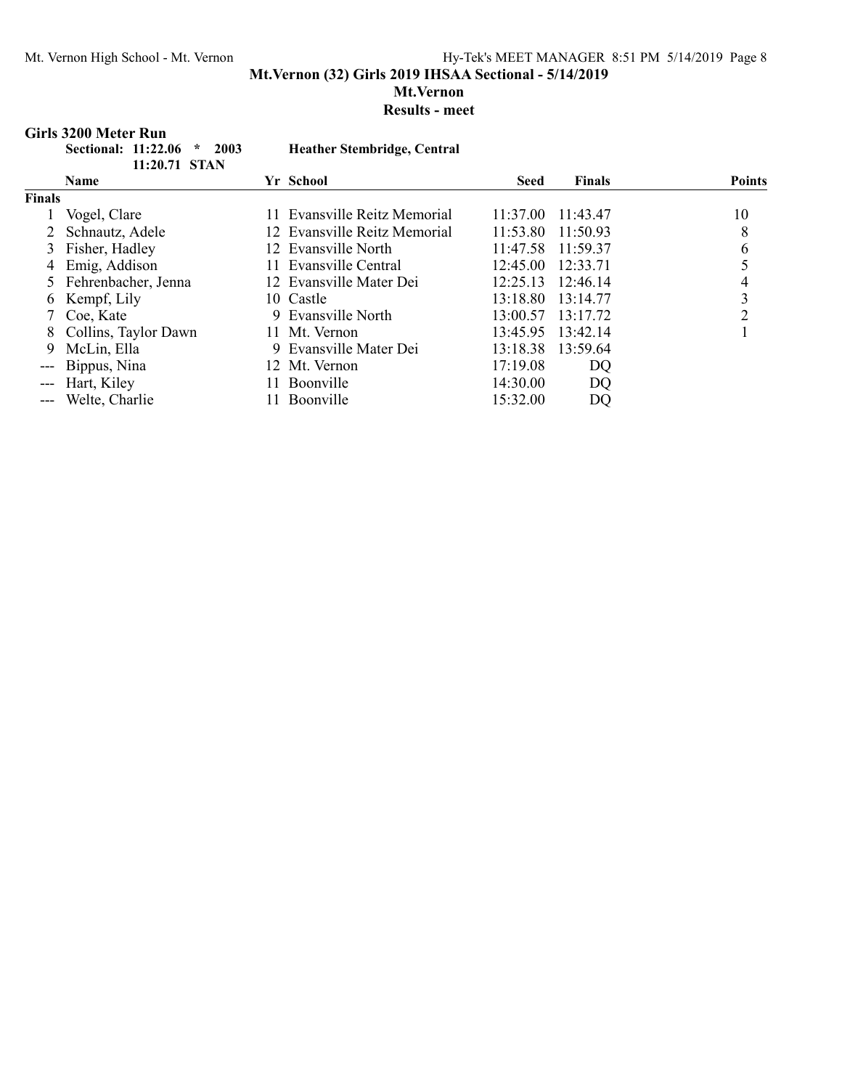# **Mt.Vernon**

**Results - meet**

#### **Girls 3200 Meter Run**

|        | <b>Sectional: 11:22.06</b><br>2003<br>$\star$ |     | <b>Heather Stembridge, Central</b> |             |                   |                |
|--------|-----------------------------------------------|-----|------------------------------------|-------------|-------------------|----------------|
|        | 11:20.71 STAN<br><b>Name</b>                  |     | Yr School                          | <b>Seed</b> | <b>Finals</b>     | <b>Points</b>  |
| Finals |                                               |     |                                    |             |                   |                |
|        | Vogel, Clare                                  |     | 11 Evansville Reitz Memorial       | 11:37.00    | 11:43.47          | 10             |
|        | 2 Schnautz, Adele                             |     | 12 Evansville Reitz Memorial       | 11:53.80    | 11:50.93          | 8              |
|        | Fisher, Hadley                                |     | 12 Evansville North                |             | 11:47.58 11:59.37 | 6              |
|        | Emig, Addison                                 |     | 11 Evansville Central              | 12:45.00    | 12:33.71          |                |
|        | 5 Fehrenbacher, Jenna                         |     | 12 Evansville Mater Dei            |             | 12:25.13 12:46.14 | 4              |
| 6      | Kempf, Lily                                   |     | 10 Castle                          | 13:18.80    | 13:14.77          | 3              |
|        | 7 Coe, Kate                                   |     | 9 Evansville North                 | 13:00.57    | 13:17.72          | $\overline{2}$ |
|        | 8 Collins, Taylor Dawn                        |     | 11 Mt. Vernon                      |             | 13:45.95 13:42.14 |                |
| 9      | McLin, Ella                                   |     | 9 Evansville Mater Dei             | 13:18.38    | 13:59.64          |                |
|        | --- Bippus, Nina                              |     | 12 Mt. Vernon                      | 17:19.08    | DQ                |                |
|        | Hart, Kiley                                   | 11. | Boonville                          | 14:30.00    | DQ                |                |
|        | Welte, Charlie                                | Ħ   | <b>Boonville</b>                   | 15:32.00    | DQ                |                |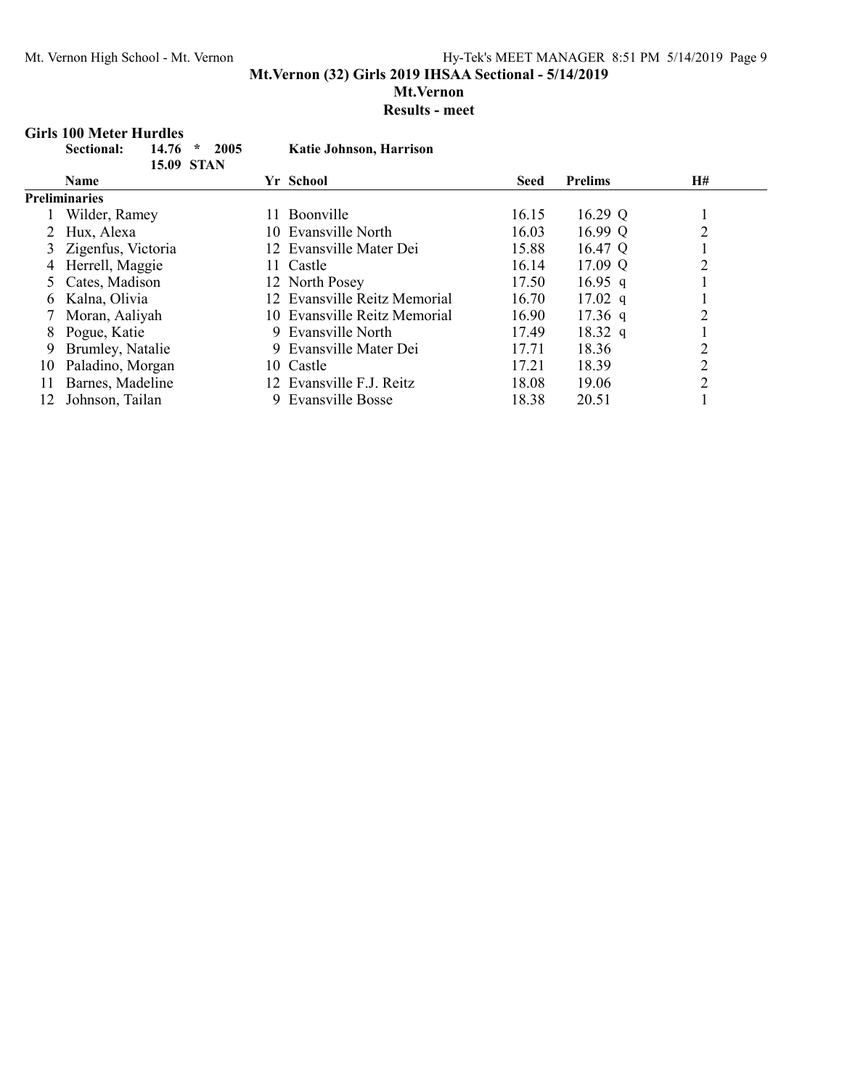# **Mt.Vernon**

### **Results - meet**

### **Girls 100 Meter Hurdles**

|    | Sectional:<br>14.76<br>$\star$<br>2005 |     | <b>Katie Johnson, Harrison</b> |             |                   |                |
|----|----------------------------------------|-----|--------------------------------|-------------|-------------------|----------------|
|    | <b>15.09 STAN</b><br><b>Name</b>       |     | Yr School                      | <b>Seed</b> | <b>Prelims</b>    | <b>H#</b>      |
|    | <b>Preliminaries</b>                   |     |                                |             |                   |                |
|    | Wilder, Ramey                          | 11. | <b>Boonville</b>               | 16.15       | 16.29 Q           |                |
|    | Hux, Alexa                             |     | 10 Evansville North            | 16.03       | 16.99 Q           | 2              |
|    | Zigenfus, Victoria                     |     | 12 Evansville Mater Dei        | 15.88       | $16.47$ Q         |                |
| 4  | Herrell, Maggie                        | 11. | Castle                         | 16.14       | 17.09 Q           | 2              |
|    | Cates, Madison                         |     | 12 North Posey                 | 17.50       | $16.95$ q         |                |
| 6  | Kalna, Olivia                          |     | 12 Evansville Reitz Memorial   | 16.70       | $17.02 \text{ q}$ |                |
|    | Moran, Aaliyah                         |     | 10 Evansville Reitz Memorial   | 16.90       | $17.36$ q         | 2              |
| 8  | Pogue, Katie                           |     | 9 Evansville North             | 17.49       | $18.32 \text{ q}$ |                |
| 9  | Brumley, Natalie                       |     | 9 Evansville Mater Dei         | 17.71       | 18.36             | 2              |
| 10 | Paladino, Morgan                       |     | 10 Castle                      | 17.21       | 18.39             | $\overline{2}$ |
| 11 | Barnes, Madeline                       |     | 12 Evansville F.J. Reitz       | 18.08       | 19.06             | $\overline{2}$ |
| 12 | Johnson, Tailan                        |     | 9 Evansville Bosse             | 18.38       | 20.51             |                |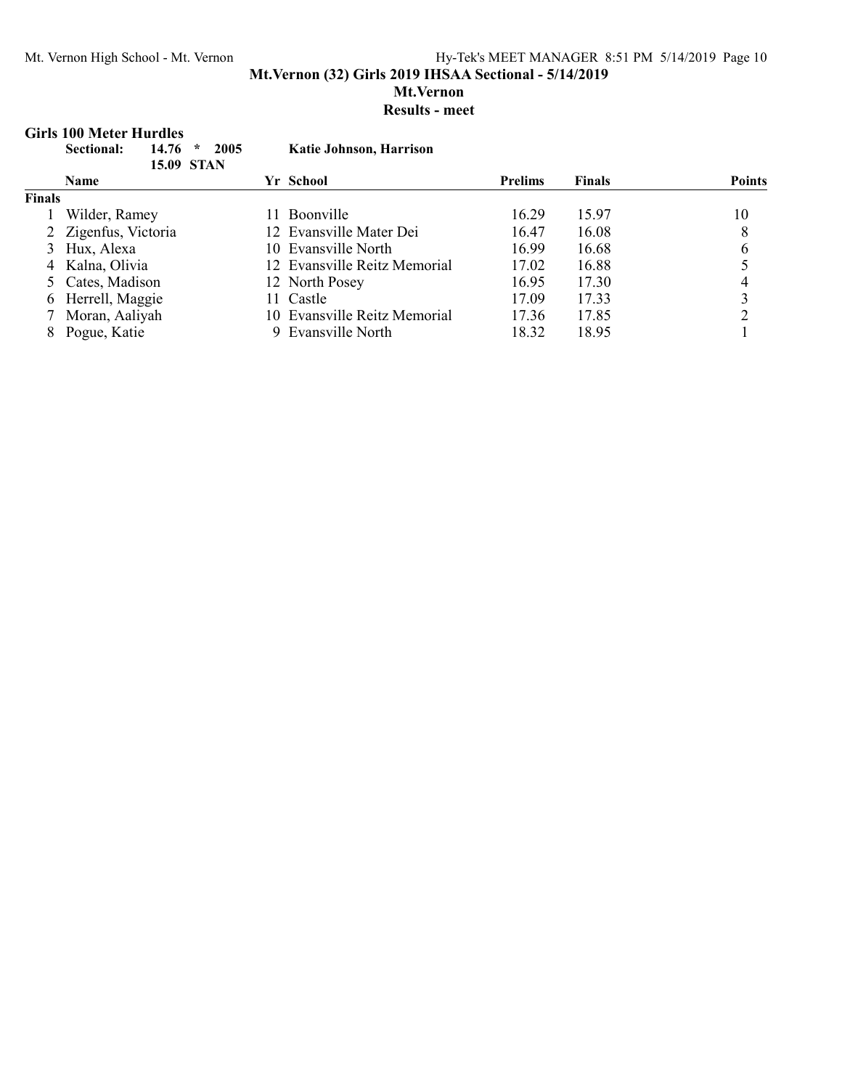# **Mt.Vernon**

**Results - meet**

### **Girls 100 Meter Hurdles**

|               | Sectional:<br>14.76<br>$\star$<br><b>15.09 STAN</b> | 2005<br><b>Katie Johnson, Harrison</b> |                |               |               |
|---------------|-----------------------------------------------------|----------------------------------------|----------------|---------------|---------------|
|               | <b>Name</b>                                         | Yr School                              | <b>Prelims</b> | <b>Finals</b> | <b>Points</b> |
| <b>Finals</b> |                                                     |                                        |                |               |               |
|               | Wilder, Ramey                                       | 11 Boonville                           | 16.29          | 15.97         | 10            |
|               | 2 Zigenfus, Victoria                                | 12 Evansville Mater Dei                | 16.47          | 16.08         | 8             |
|               | 3 Hux, Alexa                                        | 10 Evansville North                    | 16.99          | 16.68         | 6             |
|               | 4 Kalna, Olivia                                     | 12 Evansville Reitz Memorial           | 17.02          | 16.88         |               |
|               | 5 Cates, Madison                                    | 12 North Posey                         | 16.95          | 17.30         |               |
|               | 6 Herrell, Maggie                                   | 11 Castle                              | 17.09          | 17.33         |               |
|               | Moran, Aaliyah                                      | 10 Evansville Reitz Memorial           | 17.36          | 17.85         | ↑             |
|               | Pogue, Katie                                        | 9 Evansville North                     | 18.32          | 18.95         |               |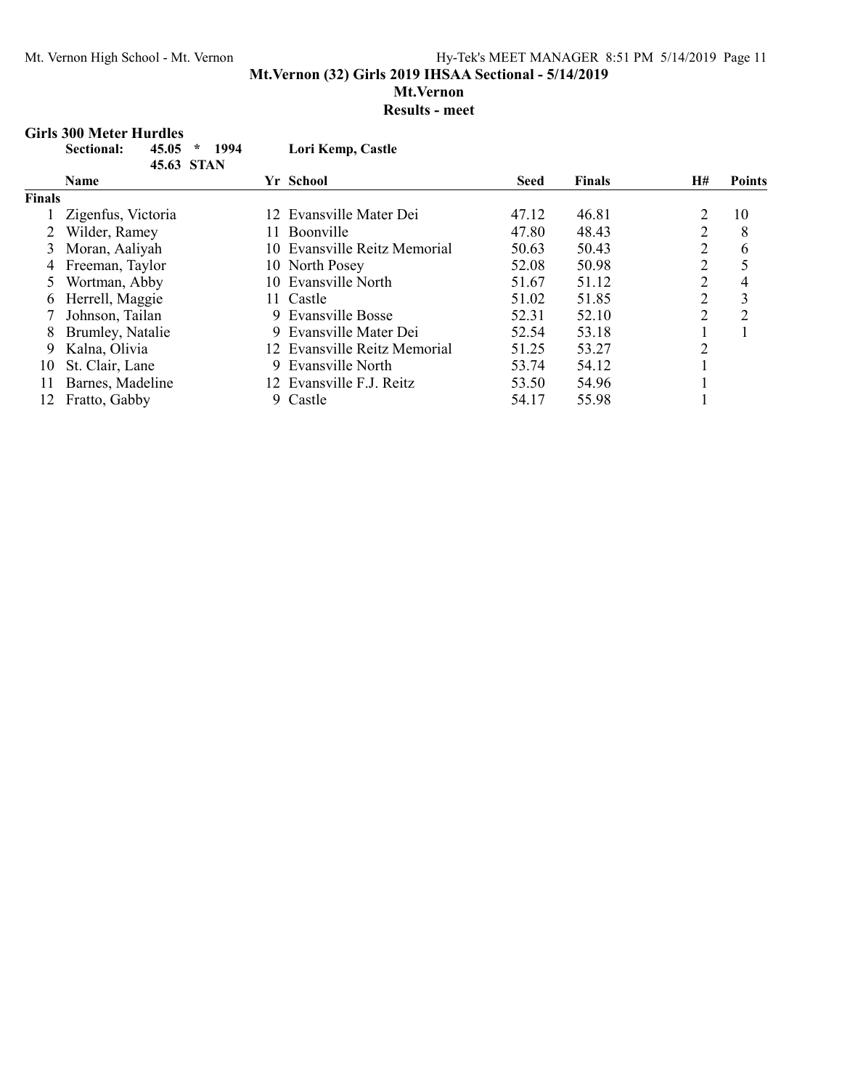# **Mt.Vernon**

**Results - meet**

### **Girls 300 Meter Hurdles**

|               | 45.05<br>$\star$<br>1994<br>Sectional:<br>45.63 STAN |     | Lori Kemp, Castle            |             |               |                |               |
|---------------|------------------------------------------------------|-----|------------------------------|-------------|---------------|----------------|---------------|
|               | <b>Name</b>                                          |     | Yr School                    | <b>Seed</b> | <b>Finals</b> | <b>H#</b>      | <b>Points</b> |
| <b>Finals</b> |                                                      |     |                              |             |               |                |               |
|               | Zigenfus, Victoria                                   |     | 12 Evansville Mater Dei      | 47.12       | 46.81         | 2              | 10            |
|               | Wilder, Ramey                                        | 11. | <b>Boonville</b>             | 47.80       | 48.43         | 2              | 8             |
| 3             | Moran, Aaliyah                                       |     | 10 Evansville Reitz Memorial | 50.63       | 50.43         | $\overline{2}$ | 6             |
| 4             | Freeman, Taylor                                      |     | 10 North Posey               | 52.08       | 50.98         | 2              |               |
| 5             | Wortman, Abby                                        |     | 10 Evansville North          | 51.67       | 51.12         | 2              | 4             |
| 6             | Herrell, Maggie                                      |     | 11 Castle                    | 51.02       | 51.85         | $\overline{2}$ | 3             |
|               | Johnson, Tailan                                      | 9.  | Evansville Bosse             | 52.31       | 52.10         | 2              | 2             |
| 8             | Brumley, Natalie                                     |     | 9 Evansville Mater Dei       | 52.54       | 53.18         |                |               |
| 9             | Kalna, Olivia                                        |     | 12 Evansville Reitz Memorial | 51.25       | 53.27         | $\overline{2}$ |               |
| 10            | St. Clair, Lane                                      | 9   | Evansville North             | 53.74       | 54.12         |                |               |
| 11            | Barnes, Madeline                                     |     | 12 Evansville F.J. Reitz     | 53.50       | 54.96         |                |               |
|               | Fratto, Gabby                                        |     | 9 Castle                     | 54.17       | 55.98         |                |               |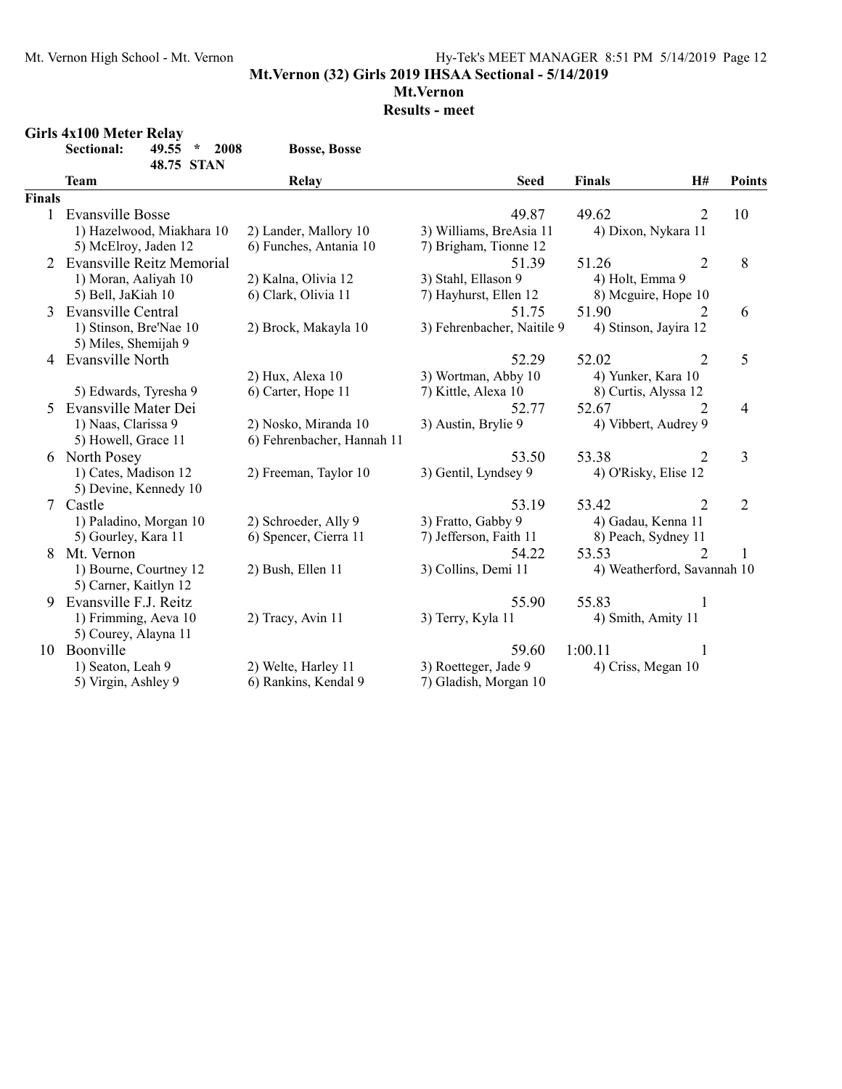### Mt. Vernon High School - Mt. Vernon **Hy-Tek's MEET MANAGER** 8:51 PM 5/14/2019 Page 12

**Mt.Vernon (32) Girls 2019 IHSAA Sectional - 5/14/2019**

# **Mt.Vernon**

|               | <b>Girls 4x100 Meter Relay</b><br>Sectional:<br>$49.55$ *<br>2008<br><b>48.75 STAN</b> | <b>Bosse, Bosse</b>        |                            |                             |                |                |
|---------------|----------------------------------------------------------------------------------------|----------------------------|----------------------------|-----------------------------|----------------|----------------|
|               | <b>Team</b>                                                                            | <b>Relay</b>               | <b>Seed</b>                | <b>Finals</b>               | H#             | Points         |
| <b>Finals</b> |                                                                                        |                            |                            |                             |                |                |
| $\mathbf{1}$  | <b>Evansville Bosse</b>                                                                |                            | 49.87                      | 49.62                       | $\overline{2}$ | 10             |
|               | 1) Hazelwood, Miakhara 10                                                              | 2) Lander, Mallory 10      | 3) Williams, BreAsia 11    | 4) Dixon, Nykara 11         |                |                |
|               | 5) McElroy, Jaden 12                                                                   | 6) Funches, Antania 10     | 7) Brigham, Tionne 12      |                             |                |                |
|               | 2 Evansville Reitz Memorial                                                            |                            | 51.39                      | 51.26                       | $\overline{2}$ | 8              |
|               | 1) Moran, Aaliyah 10                                                                   | 2) Kalna, Olivia 12        | 3) Stahl, Ellason 9        | 4) Holt, Emma 9             |                |                |
|               | 5) Bell, JaKiah 10                                                                     | 6) Clark, Olivia 11        | 7) Hayhurst, Ellen 12      | 8) Mcguire, Hope 10         |                |                |
|               | 3 Evansville Central                                                                   |                            | 51.75                      | 51.90                       | 2              | 6              |
|               | 1) Stinson, Bre'Nae 10                                                                 | 2) Brock, Makayla 10       | 3) Fehrenbacher, Naitile 9 | 4) Stinson, Jayira 12       |                |                |
|               | 5) Miles, Shemijah 9                                                                   |                            |                            |                             |                |                |
|               | <b>Evansville North</b>                                                                |                            | 52.29                      | 52.02                       | $\overline{2}$ | 5              |
|               |                                                                                        | 2) Hux, Alexa 10           | 3) Wortman, Abby 10        | 4) Yunker, Kara 10          |                |                |
|               | 5) Edwards, Tyresha 9                                                                  | 6) Carter, Hope 11         | 7) Kittle, Alexa 10        | 8) Curtis, Alyssa 12        |                |                |
| 5.            | Evansville Mater Dei                                                                   |                            | 52.77                      | 52.67                       | 2              | $\overline{4}$ |
|               | 1) Naas, Clarissa 9                                                                    | 2) Nosko, Miranda 10       | 3) Austin, Brylie 9        | 4) Vibbert, Audrey 9        |                |                |
|               | 5) Howell, Grace 11                                                                    | 6) Fehrenbacher, Hannah 11 |                            |                             |                |                |
|               | 6 North Posey                                                                          |                            | 53.50                      | 53.38                       | $\overline{2}$ | 3              |
|               | 1) Cates, Madison 12                                                                   | 2) Freeman, Taylor 10      | 3) Gentil, Lyndsey 9       | 4) O'Risky, Elise 12        |                |                |
|               | 5) Devine, Kennedy 10                                                                  |                            |                            |                             |                |                |
|               | Castle                                                                                 |                            | 53.19                      | 53.42                       | $\overline{2}$ | $\overline{2}$ |
|               | 1) Paladino, Morgan 10                                                                 | 2) Schroeder, Ally 9       | 3) Fratto, Gabby 9         | 4) Gadau, Kenna 11          |                |                |
|               | 5) Gourley, Kara 11                                                                    | 6) Spencer, Cierra 11      | 7) Jefferson, Faith 11     | 8) Peach, Sydney 11         |                |                |
| 8             | Mt. Vernon                                                                             |                            | 54.22                      | 53.53                       | $\overline{2}$ | 1              |
|               | 1) Bourne, Courtney 12                                                                 | 2) Bush, Ellen 11          | 3) Collins, Demi 11        | 4) Weatherford, Savannah 10 |                |                |
|               | 5) Carner, Kaitlyn 12                                                                  |                            |                            |                             |                |                |
| 9             | Evansville F.J. Reitz                                                                  |                            | 55.90                      | 55.83                       | 1              |                |
|               | 1) Frimming, Aeva 10                                                                   | 2) Tracy, Avin 11          | 3) Terry, Kyla 11          | 4) Smith, Amity 11          |                |                |
|               | 5) Courey, Alayna 11                                                                   |                            |                            |                             |                |                |
| 10            | Boonville                                                                              |                            | 59.60                      | 1:00.11                     |                |                |
|               | 1) Seaton, Leah 9                                                                      | 2) Welte, Harley 11        | 3) Roetteger, Jade 9       | 4) Criss, Megan 10          |                |                |
|               | 5) Virgin, Ashley 9                                                                    | 6) Rankins, Kendal 9       | 7) Gladish, Morgan 10      |                             |                |                |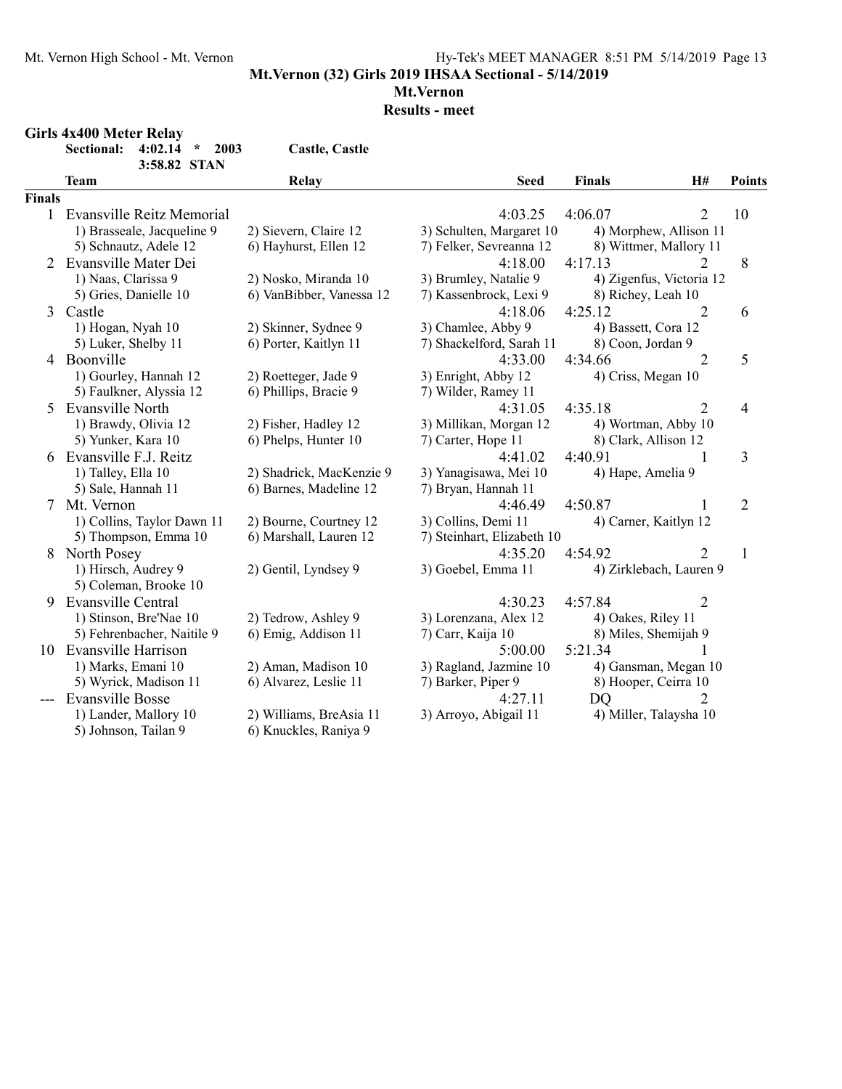### Mt. Vernon High School - Mt. Vernon Hy-Tek's MEET MANAGER 8:51 PM 5/14/2019 Page 13

**Mt.Vernon (32) Girls 2019 IHSAA Sectional - 5/14/2019**

### **Mt.Vernon**

|               | <b>Girls 4x400 Meter Relay</b><br><b>Sectional:</b><br>$4:02.14$ * 2003<br>3:58.82 STAN | <b>Castle, Castle</b>    |                            |                          |                |                |
|---------------|-----------------------------------------------------------------------------------------|--------------------------|----------------------------|--------------------------|----------------|----------------|
|               | <b>Team</b>                                                                             | Relay                    | <b>Seed</b>                | <b>Finals</b>            | H#             | Points         |
| <b>Finals</b> |                                                                                         |                          |                            |                          |                |                |
|               | 1 Evansville Reitz Memorial                                                             |                          | 4:03.25                    | 4:06.07                  | $\overline{2}$ | 10             |
|               | 1) Brasseale, Jacqueline 9                                                              | 2) Sievern, Claire 12    | 3) Schulten, Margaret 10   | 4) Morphew, Allison 11   |                |                |
|               | 5) Schnautz, Adele 12                                                                   | 6) Hayhurst, Ellen 12    | 7) Felker, Sevreanna 12    | 8) Wittmer, Mallory 11   |                |                |
|               | 2 Evansville Mater Dei                                                                  |                          | 4:18.00                    | 4:17.13                  | 2              | 8              |
|               | 1) Naas, Clarissa 9                                                                     | 2) Nosko, Miranda 10     | 3) Brumley, Natalie 9      | 4) Zigenfus, Victoria 12 |                |                |
|               | 5) Gries, Danielle 10                                                                   | 6) VanBibber, Vanessa 12 | 7) Kassenbrock, Lexi 9     | 8) Richey, Leah 10       |                |                |
|               | 3 Castle                                                                                |                          | 4:18.06                    | 4:25.12                  | $\overline{2}$ | 6              |
|               | 1) Hogan, Nyah 10                                                                       | 2) Skinner, Sydnee 9     | 3) Chamlee, Abby 9         | 4) Bassett, Cora 12      |                |                |
|               | 5) Luker, Shelby 11                                                                     | 6) Porter, Kaitlyn 11    | 7) Shackelford, Sarah 11   | 8) Coon, Jordan 9        |                |                |
|               | 4 Boonville                                                                             |                          | 4:33.00                    | 4:34.66                  | $\overline{2}$ | 5              |
|               | 1) Gourley, Hannah 12                                                                   | 2) Roetteger, Jade 9     | 3) Enright, Abby 12        | 4) Criss, Megan 10       |                |                |
|               | 5) Faulkner, Alyssia 12                                                                 | 6) Phillips, Bracie 9    | 7) Wilder, Ramey 11        |                          |                |                |
|               | 5 Evansville North                                                                      |                          | 4:31.05                    | 4:35.18                  | $\overline{2}$ | $\overline{4}$ |
|               | 1) Brawdy, Olivia 12                                                                    | 2) Fisher, Hadley 12     | 3) Millikan, Morgan 12     | 4) Wortman, Abby 10      |                |                |
|               | 5) Yunker, Kara 10                                                                      | 6) Phelps, Hunter 10     | 7) Carter, Hope 11         | 8) Clark, Allison 12     |                |                |
|               | 6 Evansville F.J. Reitz                                                                 |                          | 4:41.02                    | 4:40.91                  | 1              | 3              |
|               | 1) Talley, Ella 10                                                                      | 2) Shadrick, MacKenzie 9 | 3) Yanagisawa, Mei 10      | 4) Hape, Amelia 9        |                |                |
|               | 5) Sale, Hannah 11                                                                      | 6) Barnes, Madeline 12   | 7) Bryan, Hannah 11        |                          |                |                |
|               | 7 Mt. Vernon                                                                            |                          | 4:46.49                    | 4:50.87                  | 1              | 2              |
|               | 1) Collins, Taylor Dawn 11                                                              | 2) Bourne, Courtney 12   | 3) Collins, Demi 11        | 4) Carner, Kaitlyn 12    |                |                |
|               | 5) Thompson, Emma 10                                                                    | 6) Marshall, Lauren 12   | 7) Steinhart, Elizabeth 10 |                          |                |                |
|               | 8 North Posey                                                                           |                          | 4:35.20                    | 4:54.92                  | $\overline{2}$ | $\mathbf{1}$   |
|               | 1) Hirsch, Audrey 9                                                                     | 2) Gentil, Lyndsey 9     | 3) Goebel, Emma 11         | 4) Zirklebach, Lauren 9  |                |                |
|               | 5) Coleman, Brooke 10                                                                   |                          |                            |                          |                |                |
| 9.            | Evansville Central                                                                      |                          | 4:30.23                    | 4:57.84                  | $\overline{2}$ |                |
|               | 1) Stinson, Bre'Nae 10                                                                  | 2) Tedrow, Ashley 9      | 3) Lorenzana, Alex 12      | 4) Oakes, Riley 11       |                |                |
|               | 5) Fehrenbacher, Naitile 9                                                              | 6) Emig, Addison 11      | 7) Carr, Kaija 10          | 8) Miles, Shemijah 9     |                |                |
|               | 10 Evansville Harrison                                                                  |                          | 5:00.00                    | 5:21.34                  | 1              |                |
|               | 1) Marks, Emani 10                                                                      | 2) Aman, Madison 10      | 3) Ragland, Jazmine 10     | 4) Gansman, Megan 10     |                |                |
|               | 5) Wyrick, Madison 11                                                                   | 6) Alvarez, Leslie 11    | 7) Barker, Piper 9         | 8) Hooper, Ceirra 10     |                |                |
|               | <b>Evansville Bosse</b>                                                                 |                          | 4:27.11                    | D <sub>Q</sub>           | $\overline{2}$ |                |
|               | 1) Lander, Mallory 10                                                                   | 2) Williams, BreAsia 11  | 3) Arroyo, Abigail 11      | 4) Miller, Talaysha 10   |                |                |
|               | 5) Johnson, Tailan 9                                                                    | 6) Knuckles, Raniya 9    |                            |                          |                |                |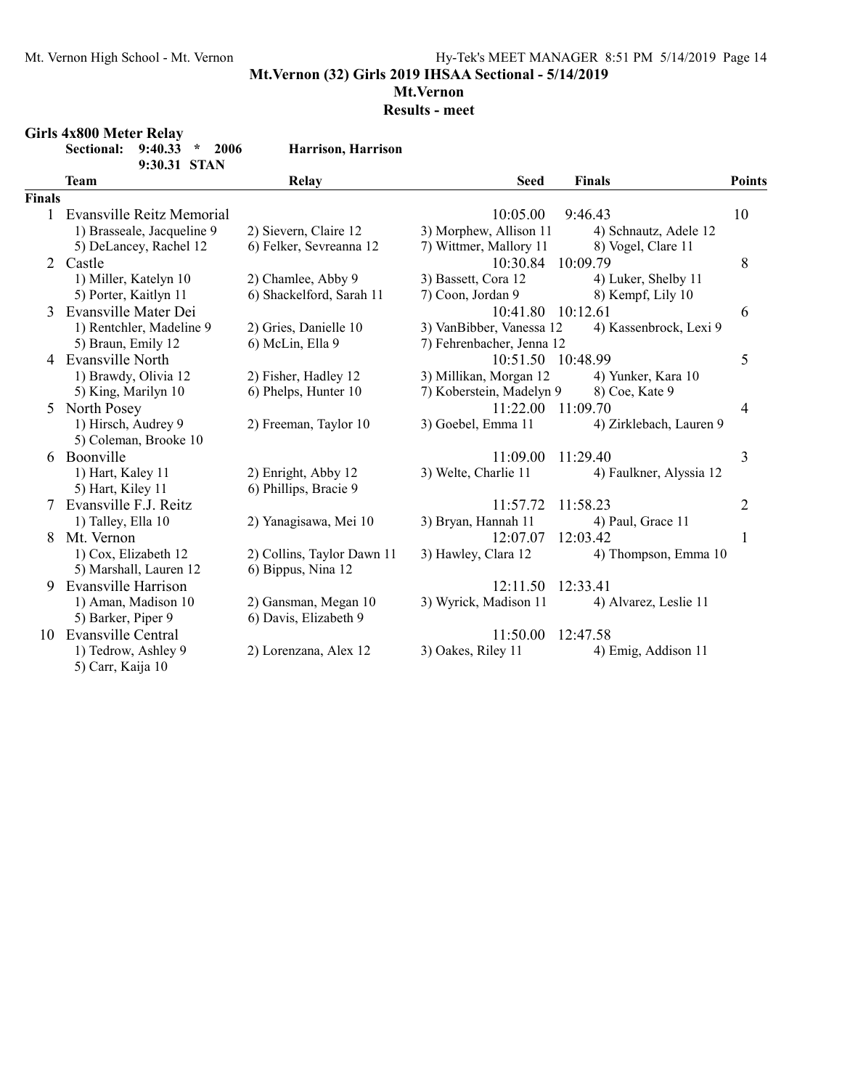#### Mt. Vernon High School - Mt. Vernon Number 1988 14 September 1988 14 Hy-Tek's MEET MANAGER 8:51 PM 5/14/2019 Page 14

**Mt.Vernon (32) Girls 2019 IHSAA Sectional - 5/14/2019**

# **Mt.Vernon**

|               | <b>Girls 4x800 Meter Relay</b><br><b>Sectional:</b><br>9:40.33<br>$\star$<br>2006<br>9:30.31 STAN | Harrison, Harrison         |                                                    |                |
|---------------|---------------------------------------------------------------------------------------------------|----------------------------|----------------------------------------------------|----------------|
|               | Team                                                                                              | <b>Relay</b>               | <b>Finals</b><br><b>Seed</b>                       | <b>Points</b>  |
| Finals        |                                                                                                   |                            |                                                    |                |
|               | <b>Evansville Reitz Memorial</b>                                                                  |                            | 10:05.00<br>9:46.43                                | 10             |
|               | 1) Brasseale, Jacqueline 9                                                                        | 2) Sievern, Claire 12      | 3) Morphew, Allison 11<br>4) Schnautz, Adele 12    |                |
|               | 5) DeLancey, Rachel 12                                                                            | 6) Felker, Sevreanna 12    | 7) Wittmer, Mallory 11<br>8) Vogel, Clare 11       |                |
|               | 2 Castle                                                                                          |                            | 10:09.79<br>10:30.84                               | 8              |
|               | 1) Miller, Katelyn 10                                                                             | 2) Chamlee, Abby 9         | 3) Bassett, Cora 12<br>4) Luker, Shelby 11         |                |
|               | 5) Porter, Kaitlyn 11                                                                             | 6) Shackelford, Sarah 11   | 7) Coon, Jordan 9<br>8) Kempf, Lily 10             |                |
| $\mathcal{E}$ | Evansville Mater Dei                                                                              |                            | 10:41.80<br>10:12.61                               | 6              |
|               | 1) Rentchler, Madeline 9                                                                          | 2) Gries, Danielle 10      | 3) VanBibber, Vanessa 12<br>4) Kassenbrock, Lexi 9 |                |
|               | 5) Braun, Emily 12                                                                                | 6) McLin, Ella 9           | 7) Fehrenbacher, Jenna 12                          |                |
|               | 4 Evansville North                                                                                |                            | 10:51.50 10:48.99                                  | 5              |
|               | 1) Brawdy, Olivia 12                                                                              | 2) Fisher, Hadley 12       | 3) Millikan, Morgan 12<br>4) Yunker, Kara 10       |                |
|               | 5) King, Marilyn 10                                                                               | 6) Phelps, Hunter 10       | 7) Koberstein, Madelyn 9<br>8) Coe, Kate 9         |                |
| 5             | North Posey                                                                                       |                            | 11:22.00<br>11:09.70                               | 4              |
|               | 1) Hirsch, Audrey 9                                                                               | 2) Freeman, Taylor 10      | 3) Goebel, Emma 11<br>4) Zirklebach, Lauren 9      |                |
|               | 5) Coleman, Brooke 10                                                                             |                            |                                                    |                |
| 6             | Boonville                                                                                         |                            | 11:29.40<br>11:09.00                               | 3              |
|               | 1) Hart, Kaley 11                                                                                 | 2) Enright, Abby 12        | 3) Welte, Charlie 11<br>4) Faulkner, Alyssia 12    |                |
|               | 5) Hart, Kiley 11                                                                                 | 6) Phillips, Bracie 9      |                                                    |                |
| 7             | Evansville F.J. Reitz                                                                             |                            | 11:57.72<br>11:58.23                               | $\overline{2}$ |
|               | 1) Talley, Ella 10                                                                                | 2) Yanagisawa, Mei 10      | 3) Bryan, Hannah 11<br>4) Paul, Grace 11           |                |
| 8             | Mt. Vernon                                                                                        |                            | 12:07.07<br>12:03.42                               | 1              |
|               | 1) Cox, Elizabeth 12                                                                              | 2) Collins, Taylor Dawn 11 | 3) Hawley, Clara 12<br>4) Thompson, Emma 10        |                |
|               | 5) Marshall, Lauren 12                                                                            | 6) Bippus, Nina 12         |                                                    |                |
| 9             | <b>Evansville Harrison</b>                                                                        |                            | 12:11.50<br>12:33.41                               |                |
|               | 1) Aman, Madison 10                                                                               | 2) Gansman, Megan 10       | 3) Wyrick, Madison 11<br>4) Alvarez, Leslie 11     |                |
|               | 5) Barker, Piper 9                                                                                | 6) Davis, Elizabeth 9      |                                                    |                |
| 10            | <b>Evansville Central</b>                                                                         |                            | 11:50.00<br>12:47.58                               |                |
|               | 1) Tedrow, Ashley 9                                                                               | 2) Lorenzana, Alex 12      | 3) Oakes, Riley 11<br>4) Emig, Addison 11          |                |
|               | 5) Carr, Kaija 10                                                                                 |                            |                                                    |                |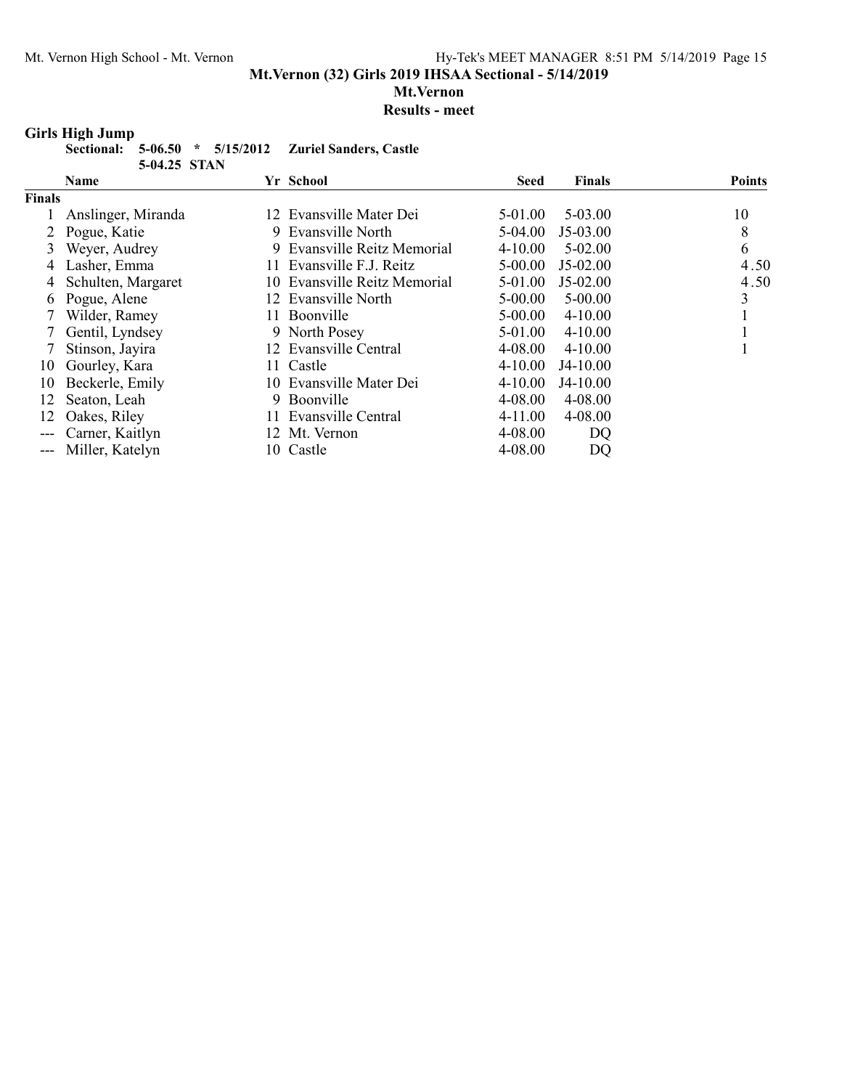**Mt.Vernon**

**Results - meet**

## **Girls High Jump**

|              | Sectional: 5-06.50 * 5/15/2012 Zuriel Sanders, Castle |
|--------------|-------------------------------------------------------|
| 5-04.25 STAN |                                                       |

|               | <b>Name</b>        |     | Yr School                    | Seed        | <b>Finals</b> | <b>Points</b> |
|---------------|--------------------|-----|------------------------------|-------------|---------------|---------------|
| <b>Finals</b> |                    |     |                              |             |               |               |
|               | Anslinger, Miranda |     | 12 Evansville Mater Dei      | 5-01.00     | 5-03.00       | 10            |
|               | Pogue, Katie       |     | 9 Evansville North           | 5-04.00     | $J5-03.00$    | 8             |
| 3             | Weyer, Audrey      |     | 9 Evansville Reitz Memorial  | $4 - 10.00$ | $5 - 02.00$   | 6             |
| 4             | Lasher, Emma       |     | Evansville F.J. Reitz        | 5-00.00     | $J5-02.00$    | 4.50          |
| 4             | Schulten, Margaret |     | 10 Evansville Reitz Memorial | 5-01.00     | $J5-02.00$    | 4.50          |
| 6             | Pogue, Alene       |     | 12 Evansville North          | 5-00.00     | 5-00.00       | 3             |
|               | Wilder, Ramey      | 11. | <b>Boonville</b>             | $5-00.00$   | $4 - 10.00$   |               |
|               | Gentil, Lyndsey    |     | 9 North Posey                | 5-01.00     | $4 - 10.00$   |               |
|               | Stinson, Jayira    |     | 12 Evansville Central        | 4-08.00     | $4 - 10.00$   |               |
| 10            | Gourley, Kara      |     | 11 Castle                    | $4 - 10.00$ | $J4-10.00$    |               |
| 10            | Beckerle, Emily    |     | 10 Evansville Mater Dei      | $4 - 10.00$ | J4-10.00      |               |
| 12            | Seaton, Leah       |     | 9 Boonville                  | 4-08.00     | 4-08.00       |               |
| 12            | Oakes, Riley       |     | 11 Evansville Central        | $4 - 11.00$ | 4-08.00       |               |
|               | Carner, Kaitlyn    |     | 12 Mt. Vernon                | 4-08.00     | DQ            |               |
|               | Miller, Katelyn    |     | 10 Castle                    | 4-08.00     | DQ            |               |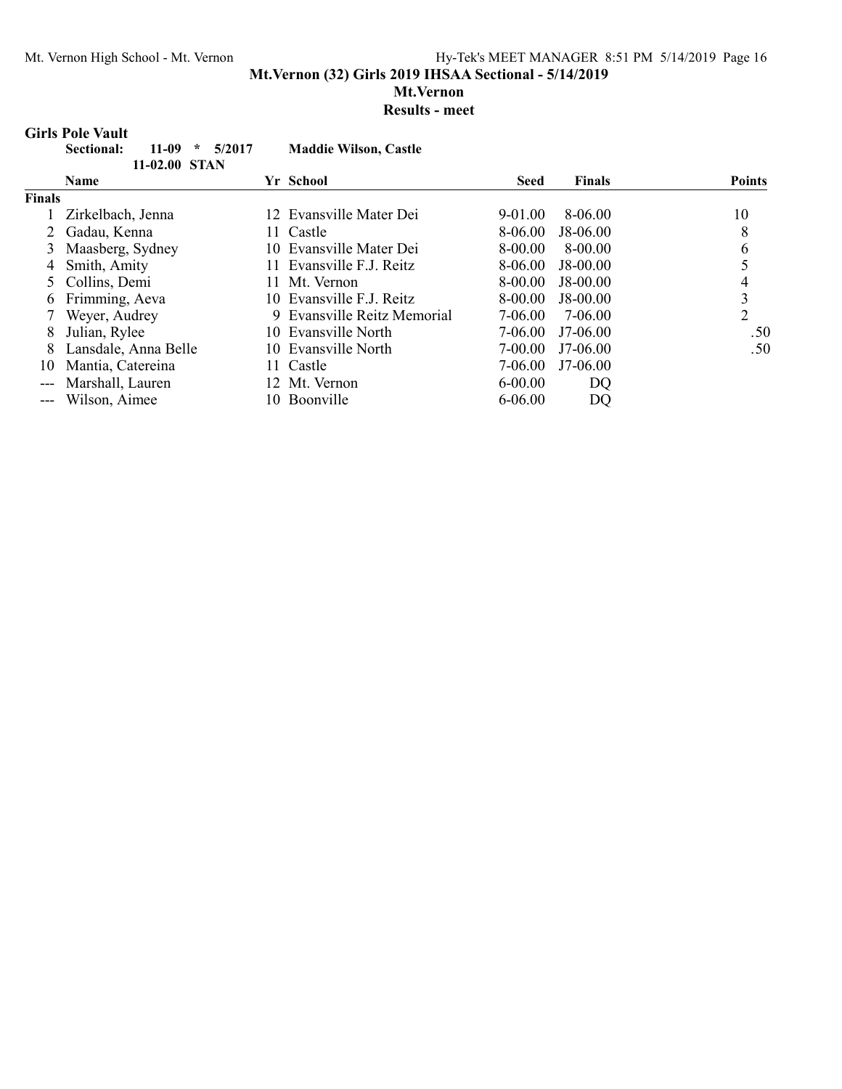# **Mt.Vernon**

**Results - meet**

#### **Girls Pole Vault**

| <b>Sectional:</b> |               | $11-09$ * $5/2017$ | <b>Maddie Wilson, Castle</b> |  |
|-------------------|---------------|--------------------|------------------------------|--|
|                   | 11-02.00 STAN |                    |                              |  |
| Name              |               |                    | Vr. School                   |  |

| <b>Name</b>          |                                           | <b>Seed</b>                                                                                                                                                                                                                                                                      | <b>Finals</b> | <b>Points</b> |
|----------------------|-------------------------------------------|----------------------------------------------------------------------------------------------------------------------------------------------------------------------------------------------------------------------------------------------------------------------------------|---------------|---------------|
|                      |                                           |                                                                                                                                                                                                                                                                                  |               |               |
| Zirkelbach, Jenna    |                                           | $9-01.00$                                                                                                                                                                                                                                                                        | 8-06.00       | 10            |
|                      |                                           | 8-06.00                                                                                                                                                                                                                                                                          | J8-06.00      | 8             |
| Maasberg, Sydney     |                                           | 8-00.00                                                                                                                                                                                                                                                                          | 8-00.00       | 6             |
| Smith, Amity         |                                           | 8-06.00                                                                                                                                                                                                                                                                          | $J8-00.00$    |               |
|                      | 11                                        | 8-00.00                                                                                                                                                                                                                                                                          | J8-00.00      |               |
| Frimming, Aeva       |                                           | 8-00.00                                                                                                                                                                                                                                                                          | $J8-00.00$    |               |
| Weyer, Audrey        |                                           | 7-06.00                                                                                                                                                                                                                                                                          | 7-06.00       | 2             |
| Julian, Rylee        |                                           | 7-06.00                                                                                                                                                                                                                                                                          | $J7-06.00$    | .50           |
| Lansdale, Anna Belle |                                           | $7-00.00$                                                                                                                                                                                                                                                                        | $J7-06.00$    | .50           |
| Mantia, Catereina    |                                           | 7-06.00                                                                                                                                                                                                                                                                          | $J7-06.00$    |               |
| Marshall, Lauren     |                                           | $6 - 00.00$                                                                                                                                                                                                                                                                      | DQ            |               |
| Wilson, Aimee        |                                           | $6 - 06.00$                                                                                                                                                                                                                                                                      | DQ            |               |
|                      | Finals<br>Gadau, Kenna<br>5 Collins, Demi | Yr School<br>12 Evansville Mater Dei<br>11 Castle<br>10 Evansville Mater Dei<br>11 Evansville F.J. Reitz<br>Mt. Vernon<br>10 Evansville F.J. Reitz<br>9 Evansville Reitz Memorial<br>10 Evansville North<br>10 Evansville North<br>11 Castle<br>12 Mt. Vernon<br>Boonville<br>10 |               |               |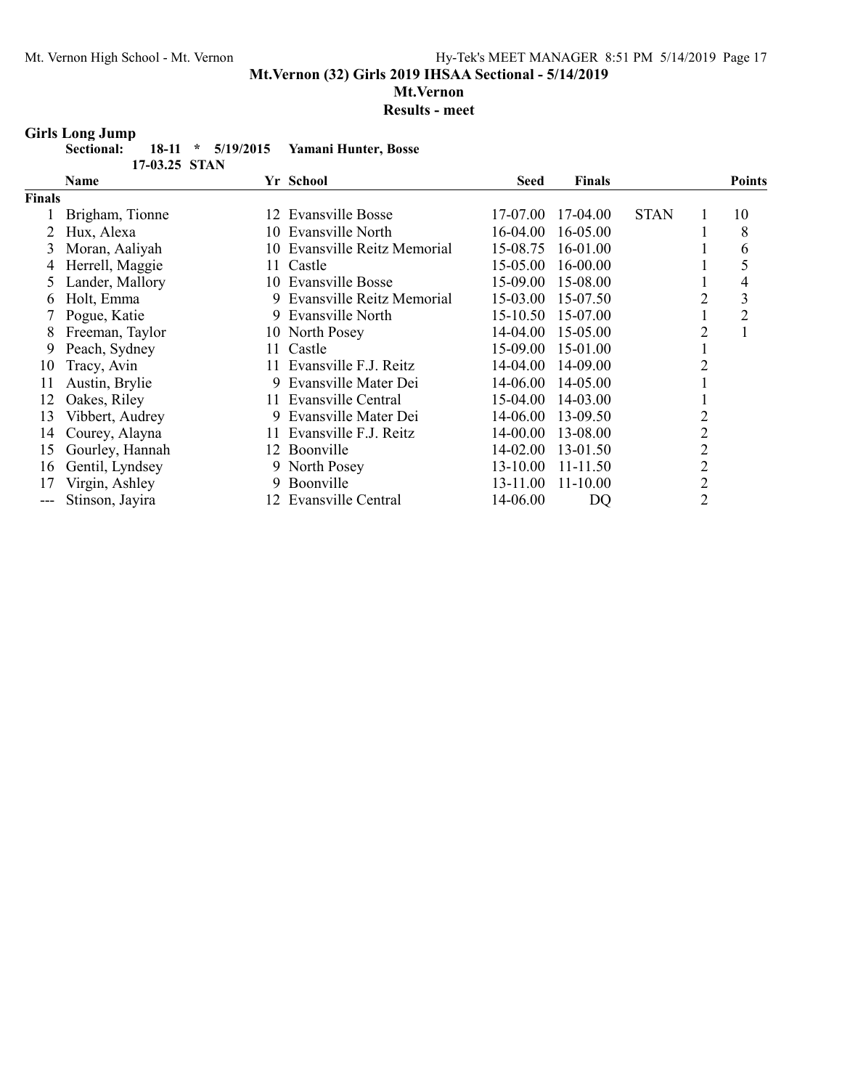**Mt.Vernon**

**Results - meet**

## **Girls Long Jump**

|               | Sectional: 18-11 * 5/19/2015 Yamani Hunter, Bosse |
|---------------|---------------------------------------------------|
| 17-03.25 STAN |                                                   |

|               | Name            |     | Yr School                    | <b>Seed</b>  | <b>Finals</b> |             |                | <b>Points</b>  |
|---------------|-----------------|-----|------------------------------|--------------|---------------|-------------|----------------|----------------|
| <b>Finals</b> |                 |     |                              |              |               |             |                |                |
|               | Brigham, Tionne |     | 12 Evansville Bosse          | 17-07.00     | 17-04.00      | <b>STAN</b> |                | 10             |
|               | Hux, Alexa      |     | 10 Evansville North          | 16-04.00     | 16-05.00      |             |                | 8              |
| 3             | Moran, Aaliyah  |     | 10 Evansville Reitz Memorial | 15-08.75     | 16-01.00      |             |                | 6              |
| 4             | Herrell, Maggie | 11  | Castle                       | 15-05.00     | 16-00.00      |             |                | 5              |
| 5             | Lander, Mallory | 10. | <b>Evansville Bosse</b>      | 15-09.00     | 15-08.00      |             |                | 4              |
| 6             | Holt, Emma      | 9.  | Evansville Reitz Memorial    | 15-03.00     | 15-07.50      |             | 2              | 3              |
|               | Pogue, Katie    | 9.  | Evansville North             | $15 - 10.50$ | 15-07.00      |             |                | $\overline{2}$ |
| 8             | Freeman, Taylor |     | 10 North Posey               | 14-04.00     | 15-05.00      |             | 2              |                |
| 9             | Peach, Sydney   |     | 11 Castle                    | 15-09.00     | 15-01.00      |             |                |                |
| 10            | Tracy, Avin     |     | 11 Evansville F.J. Reitz     | 14-04.00     | 14-09.00      |             | 2              |                |
| 11            | Austin, Brylie  | 9.  | Evansville Mater Dei         | 14-06.00     | $14 - 05.00$  |             |                |                |
| 12            | Oakes, Riley    | 11. | Evansville Central           | 15-04.00     | 14-03.00      |             |                |                |
| 13            | Vibbert, Audrey |     | Evansville Mater Dei         | 14-06.00     | 13-09.50      |             | 2              |                |
| 14            | Courey, Alayna  |     | Evansville F.J. Reitz        | 14-00.00     | 13-08.00      |             | 2              |                |
| 15            | Gourley, Hannah |     | 12 Boonville                 | 14-02.00     | 13-01.50      |             | $\overline{2}$ |                |
| 16            | Gentil, Lyndsey |     | 9 North Posey                | 13-10.00     | 11-11.50      |             | $\overline{2}$ |                |
| 17            | Virgin, Ashley  | 9   | Boonville                    | 13-11.00     | $11 - 10.00$  |             | $\overline{2}$ |                |
|               | Stinson, Jayira |     | 12 Evansville Central        | 14-06.00     | DQ            |             | $\overline{2}$ |                |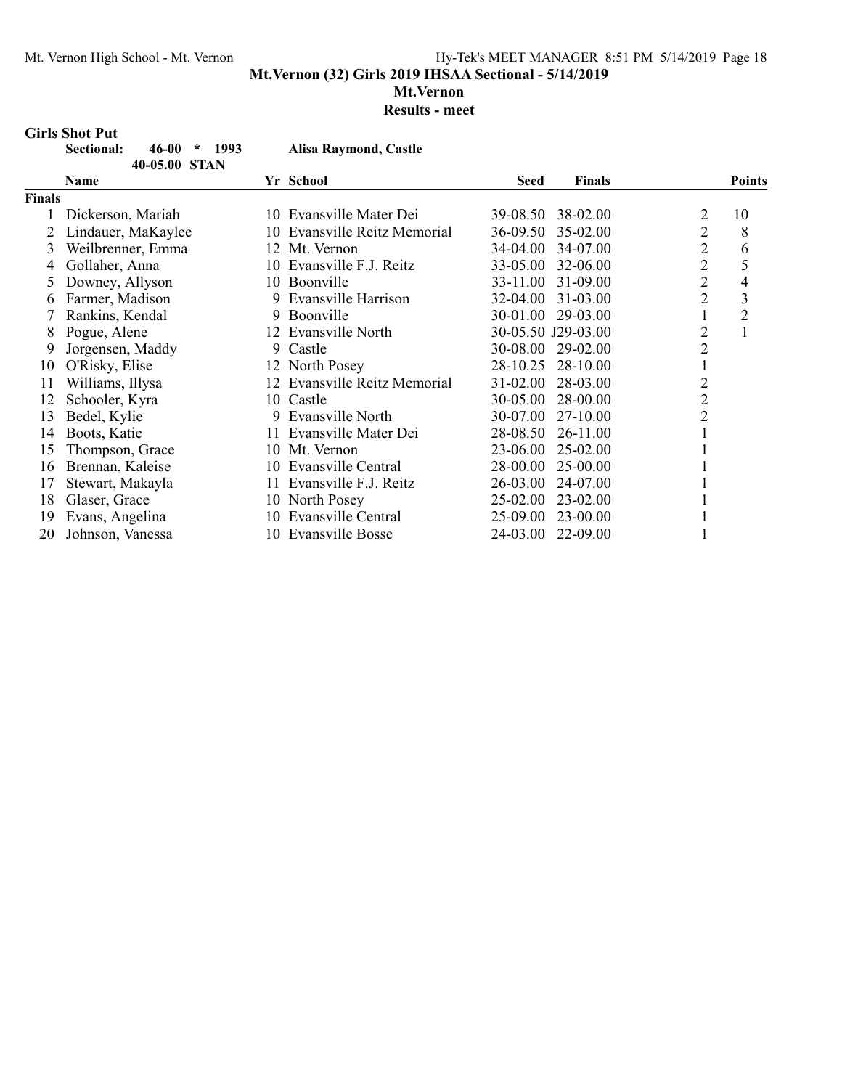#### Mt. Vernon High School - Mt. Vernon Number 1988 18 and Hy-Tek's MEET MANAGER 8:51 PM 5/14/2019 Page 18

**Mt.Vernon (32) Girls 2019 IHSAA Sectional - 5/14/2019**

**Mt.Vernon**

**Results - meet**

#### **Girls Shot Put**

|        | Sectional:<br>$46 - 00$<br>1993<br>$\star$ |   | Alisa Raymond, Castle        |             |                    |                |                |
|--------|--------------------------------------------|---|------------------------------|-------------|--------------------|----------------|----------------|
|        | 40-05.00 STAN<br>Name                      |   | Yr School                    | <b>Seed</b> | Finals             |                | Points         |
| Finals |                                            |   |                              |             |                    |                |                |
|        | Dickerson, Mariah                          |   | 10 Evansville Mater Dei      | 39-08.50    | 38-02.00           | 2              | 10             |
| 2      | Lindauer, MaKaylee                         |   | 10 Evansville Reitz Memorial | 36-09.50    | 35-02.00           | $\overline{2}$ | 8              |
| 3      | Weilbrenner, Emma                          |   | 12 Mt. Vernon                | 34-04.00    | 34-07.00           | $\overline{c}$ | 6              |
| 4      | Gollaher, Anna                             |   | 10 Evansville F.J. Reitz     | 33-05.00    | 32-06.00           | $\overline{c}$ | 5              |
| 5      | Downey, Allyson                            |   | 10 Boonville                 | 33-11.00    | 31-09.00           | $\overline{2}$ | $\overline{4}$ |
| 6      | Farmer, Madison                            | 9 | Evansville Harrison          | 32-04.00    | 31-03.00           | $\overline{2}$ | $\overline{3}$ |
|        | Rankins, Kendal                            | 9 | Boonville                    | 30-01.00    | 29-03.00           |                | $\overline{2}$ |
| 8      | Pogue, Alene                               |   | 12 Evansville North          |             | 30-05.50 J29-03.00 | $\overline{2}$ | $\mathbf{1}$   |
| 9      | Jorgensen, Maddy                           |   | 9 Castle                     | 30-08.00    | 29-02.00           | $\overline{2}$ |                |
| 10     | O'Risky, Elise                             |   | 12 North Posey               | 28-10.25    | 28-10.00           | $\mathbf{I}$   |                |
| 11     | Williams, Illysa                           |   | 12 Evansville Reitz Memorial | 31-02.00    | 28-03.00           | $\overline{c}$ |                |
| 12     | Schooler, Kyra                             |   | 10 Castle                    | 30-05.00    | 28-00.00           | $\overline{c}$ |                |
| 13     | Bedel, Kylie                               |   | 9 Evansville North           | 30-07.00    | 27-10.00           | $\overline{2}$ |                |
| 14     | Boots, Katie                               |   | 11 Evansville Mater Dei      | 28-08.50    | 26-11.00           |                |                |
| 15     | Thompson, Grace                            |   | 10 Mt. Vernon                | 23-06.00    | 25-02.00           |                |                |
| 16     | Brennan, Kaleise                           |   | 10 Evansville Central        | 28-00.00    | 25-00.00           |                |                |
| 17     | Stewart, Makayla                           |   | 11 Evansville F.J. Reitz     | 26-03.00    | 24-07.00           |                |                |
| 18     | Glaser, Grace                              |   | 10 North Posey               | 25-02.00    | 23-02.00           |                |                |
| 19     | Evans, Angelina                            |   | 10 Evansville Central        | 25-09.00    | 23-00.00           |                |                |
| 20     | Johnson, Vanessa                           |   | 10 Evansville Bosse          | 24-03.00    | 22-09.00           |                |                |
|        |                                            |   |                              |             |                    |                |                |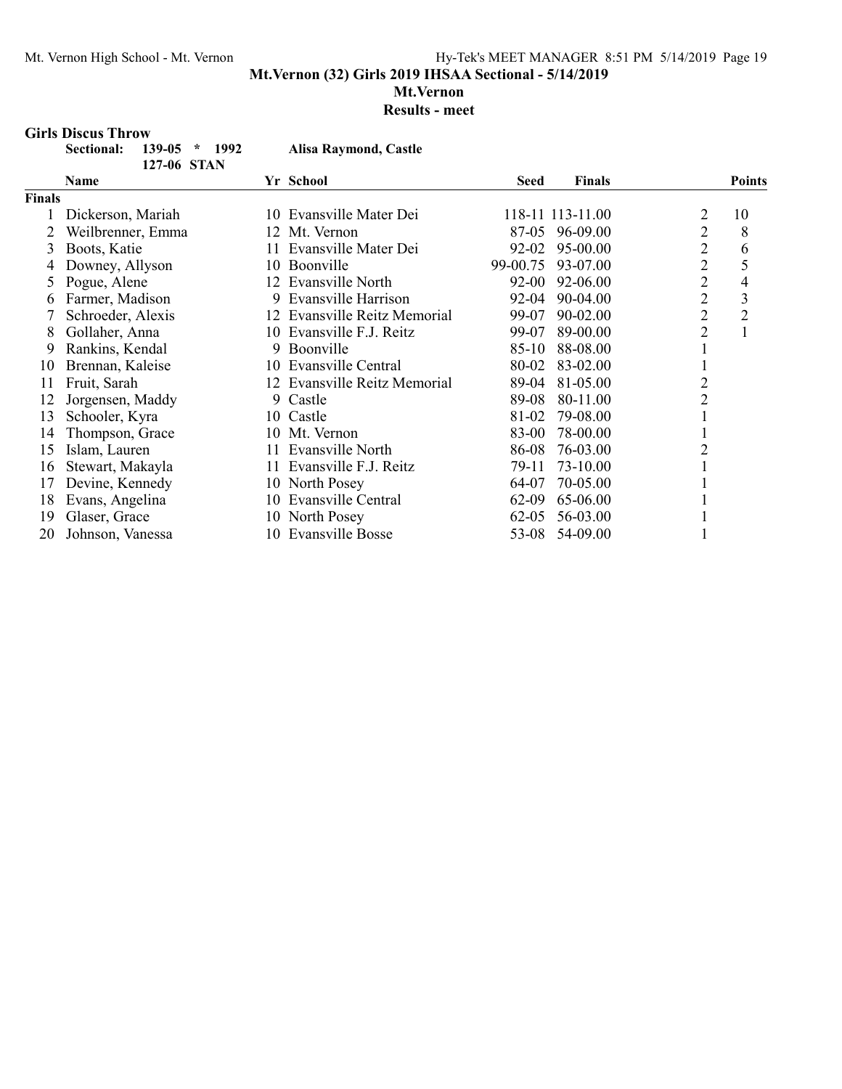## **Mt.Vernon**

**Results - meet**

#### **Girls Discus Throw**

| Sectional: 139-05 * 1992 |             |  | Alisa Raymond, Castle |
|--------------------------|-------------|--|-----------------------|
|                          | 127-06 STAN |  |                       |

|        | Name              |     | Yr School                    | <b>Seed</b> | <b>Finals</b>    |                | <b>Points</b>  |
|--------|-------------------|-----|------------------------------|-------------|------------------|----------------|----------------|
| Finals |                   |     |                              |             |                  |                |                |
|        | Dickerson, Mariah |     | 10 Evansville Mater Dei      |             | 118-11 113-11.00 | 2              | 10             |
|        | Weilbrenner, Emma |     | 12 Mt. Vernon                | 87-05       | 96-09.00         | $\overline{2}$ | 8              |
| 3      | Boots, Katie      | 11. | Evansville Mater Dei         | 92-02       | 95-00.00         | $\overline{2}$ | 6              |
| 4      | Downey, Allyson   |     | 10 Boonville                 | 99-00.75    | 93-07.00         | $\overline{2}$ | 5              |
| 5      | Pogue, Alene      | 12  | <b>Evansville North</b>      | $92 - 00$   | 92-06.00         | $\overline{2}$ | 4              |
| 6      | Farmer, Madison   |     | 9 Evansville Harrison        | 92-04       | 90-04.00         | $\overline{2}$ | 3              |
|        | Schroeder, Alexis |     | 12 Evansville Reitz Memorial | 99-07       | 90-02.00         | $\overline{2}$ | $\overline{2}$ |
| 8      | Gollaher, Anna    |     | 10 Evansville F.J. Reitz     | 99-07       | 89-00.00         | $\overline{2}$ |                |
| 9      | Rankins, Kendal   |     | 9 Boonville                  | 85-10       | 88-08.00         |                |                |
| 10     | Brennan, Kaleise  |     | 10 Evansville Central        | 80-02       | 83-02.00         |                |                |
| 11     | Fruit, Sarah      |     | 12 Evansville Reitz Memorial | 89-04       | 81-05.00         | $\overline{c}$ |                |
| 12     | Jorgensen, Maddy  |     | 9 Castle                     | 89-08       | 80-11.00         | $\overline{2}$ |                |
| 13     | Schooler, Kyra    |     | 10 Castle                    | 81-02       | 79-08.00         |                |                |
| 14     | Thompson, Grace   |     | 10 Mt. Vernon                | 83-00       | 78-00.00         |                |                |
| 15     | Islam, Lauren     | 11  | Evansville North             | 86-08       | 76-03.00         | $\overline{2}$ |                |
| 16     | Stewart, Makayla  |     | 11 Evansville F.J. Reitz     | 79-11       | 73-10.00         |                |                |
| 17     | Devine, Kennedy   |     | 10 North Posey               | 64-07       | 70-05.00         |                |                |
| 18     | Evans, Angelina   |     | 10 Evansville Central        | 62-09       | 65-06.00         |                |                |
| 19     | Glaser, Grace     |     | 10 North Posey               | $62 - 05$   | 56-03.00         |                |                |
| 20     | Johnson, Vanessa  |     | 10 Evansville Bosse          | 53-08       | 54-09.00         |                |                |